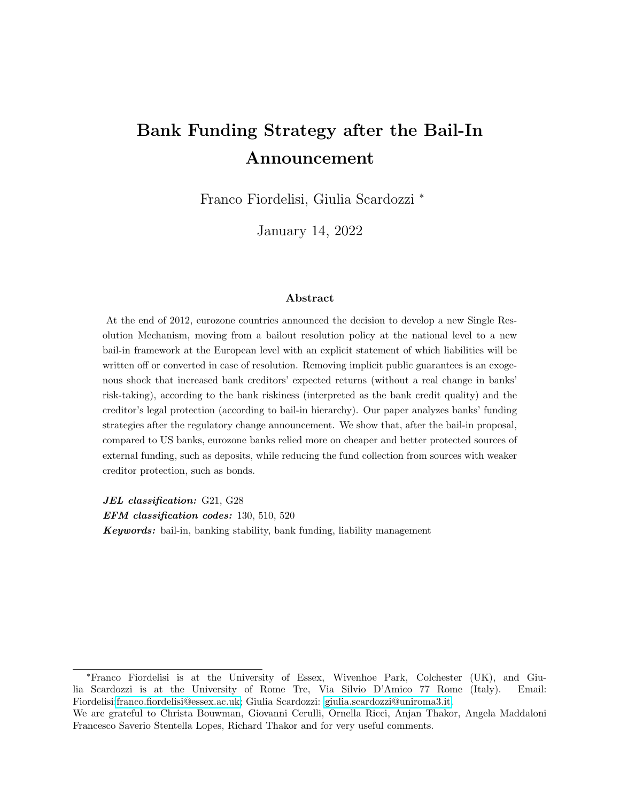## Bank Funding Strategy after the Bail-In Announcement

Franco Fiordelisi, Giulia Scardozzi <sup>∗</sup>

January 14, 2022

#### Abstract

At the end of 2012, eurozone countries announced the decision to develop a new Single Resolution Mechanism, moving from a bailout resolution policy at the national level to a new bail-in framework at the European level with an explicit statement of which liabilities will be written of for converted in case of resolution. Removing implicit public guarantees is an exogenous shock that increased bank creditors' expected returns (without a real change in banks' risk-taking), according to the bank riskiness (interpreted as the bank credit quality) and the creditor's legal protection (according to bail-in hierarchy). Our paper analyzes banks' funding strategies after the regulatory change announcement. We show that, after the bail-in proposal, compared to US banks, eurozone banks relied more on cheaper and better protected sources of external funding, such as deposits, while reducing the fund collection from sources with weaker creditor protection, such as bonds.

JEL classification: G21, G28

EFM classification codes: 130, 510, 520

Keywords: bail-in, banking stability, bank funding, liability management

<sup>∗</sup>Franco Fiordelisi is at the University of Essex, Wivenhoe Park, Colchester (UK), and Giulia Scardozzi is at the University of Rome Tre, Via Silvio D'Amico 77 Rome (Italy). Email: Fiordelisi[:franco.fiordelisi@essex.ac.uk;](mailto:franco.fiordelisi@essex.ac.uk) Giulia Scardozzi: [giulia.scardozzi@uniroma3.it.](mailto:giulia.scardozzi@uniroma3.it)

We are grateful to Christa Bouwman, Giovanni Cerulli, Ornella Ricci, Anjan Thakor, Angela Maddaloni Francesco Saverio Stentella Lopes, Richard Thakor and for very useful comments.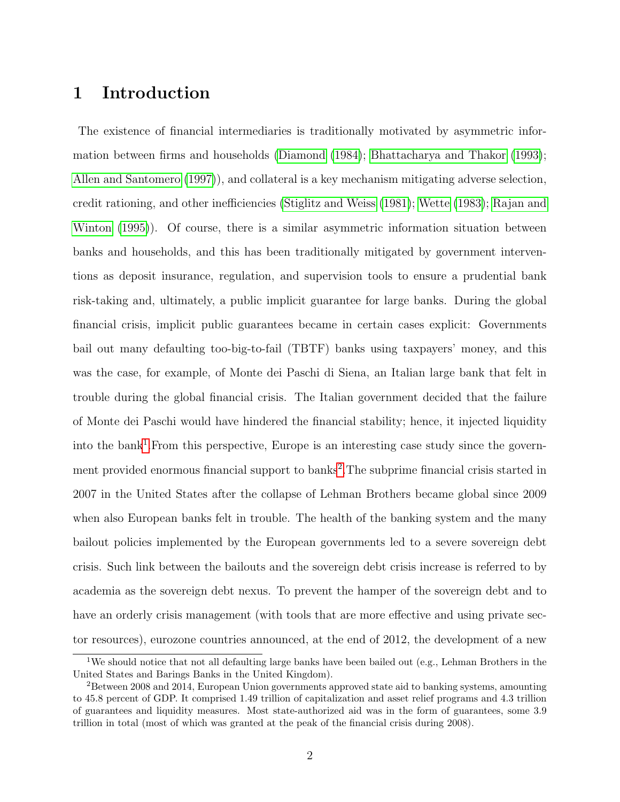## 1 Introduction

The existence of financial intermediaries is traditionally motivated by asymmetric information between firms and households [\(Diamond](#page-24-0) [\(1984\)](#page-24-0); [Bhattacharya and Thakor](#page-24-1) [\(1993\)](#page-24-1); [Allen and Santomero](#page-24-2) [\(1997\)](#page-24-2)), and collateral is a key mechanism mitigating adverse selection, credit rationing, and other inefficiencies [\(Stiglitz and Weiss](#page-26-0) [\(1981\)](#page-26-0); [Wette](#page-26-1) [\(1983\)](#page-26-1); [Rajan and](#page-25-0) [Winton](#page-25-0) [\(1995\)](#page-25-0)). Of course, there is a similar asymmetric information situation between banks and households, and this has been traditionally mitigated by government interventions as deposit insurance, regulation, and supervision tools to ensure a prudential bank risk-taking and, ultimately, a public implicit guarantee for large banks. During the global financial crisis, implicit public guarantees became in certain cases explicit: Governments bail out many defaulting too-big-to-fail (TBTF) banks using taxpayers' money, and this was the case, for example, of Monte dei Paschi di Siena, an Italian large bank that felt in trouble during the global financial crisis. The Italian government decided that the failure of Monte dei Paschi would have hindered the financial stability; hence, it injected liquidity into the bank<sup>[1](#page-1-0)</sup>. From this perspective, Europe is an interesting case study since the govern-ment provided enormous financial support to banks<sup>[2](#page-1-1)</sup>. The subprime financial crisis started in 2007 in the United States after the collapse of Lehman Brothers became global since 2009 when also European banks felt in trouble. The health of the banking system and the many bailout policies implemented by the European governments led to a severe sovereign debt crisis. Such link between the bailouts and the sovereign debt crisis increase is referred to by academia as the sovereign debt nexus. To prevent the hamper of the sovereign debt and to have an orderly crisis management (with tools that are more effective and using private sector resources), eurozone countries announced, at the end of 2012, the development of a new

<span id="page-1-0"></span><sup>&</sup>lt;sup>1</sup>We should notice that not all defaulting large banks have been bailed out (e.g., Lehman Brothers in the United States and Barings Banks in the United Kingdom).

<span id="page-1-1"></span><sup>&</sup>lt;sup>2</sup>Between 2008 and 2014, European Union governments approved state aid to banking systems, amounting to 45.8 percent of GDP. It comprised 1.49 trillion of capitalization and asset relief programs and 4.3 trillion of guarantees and liquidity measures. Most state-authorized aid was in the form of guarantees, some 3.9 trillion in total (most of which was granted at the peak of the financial crisis during 2008).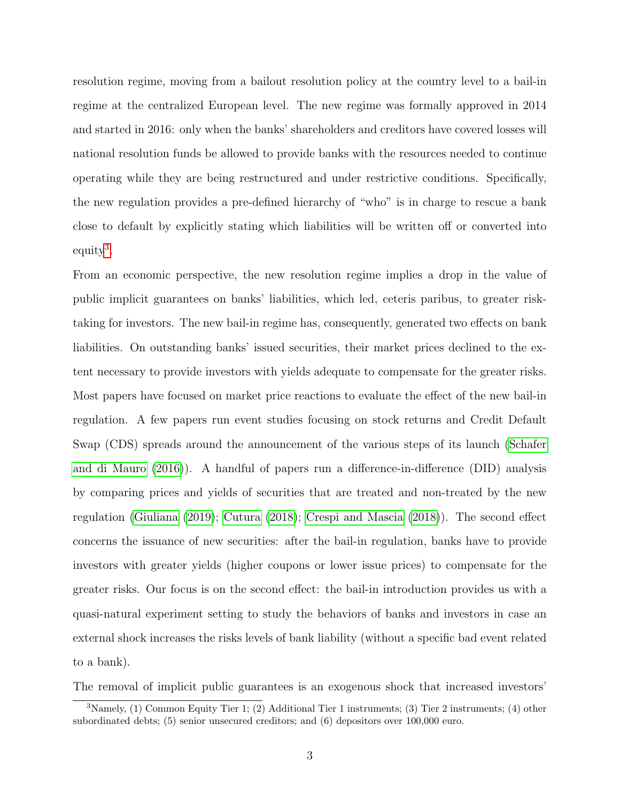resolution regime, moving from a bailout resolution policy at the country level to a bail-in regime at the centralized European level. The new regime was formally approved in 2014 and started in 2016: only when the banks' shareholders and creditors have covered losses will national resolution funds be allowed to provide banks with the resources needed to continue operating while they are being restructured and under restrictive conditions. Specifically, the new regulation provides a pre-defined hierarchy of "who" is in charge to rescue a bank close to default by explicitly stating which liabilities will be written off or converted into equity<sup>[3](#page-2-0)</sup>.

From an economic perspective, the new resolution regime implies a drop in the value of public implicit guarantees on banks' liabilities, which led, ceteris paribus, to greater risktaking for investors. The new bail-in regime has, consequently, generated two effects on bank liabilities. On outstanding banks' issued securities, their market prices declined to the extent necessary to provide investors with yields adequate to compensate for the greater risks. Most papers have focused on market price reactions to evaluate the effect of the new bail-in regulation. A few papers run event studies focusing on stock returns and Credit Default Swap (CDS) spreads around the announcement of the various steps of its launch [\(Schafer](#page-26-2) [and di Mauro](#page-26-2) [\(2016\)](#page-26-2)). A handful of papers run a difference-in-difference (DID) analysis by comparing prices and yields of securities that are treated and non-treated by the new regulation [\(Giuliana](#page-25-1) [\(2019\)](#page-25-1); [Cutura](#page-24-3) [\(2018\)](#page-24-3); [Crespi and Mascia](#page-24-4) [\(2018\)](#page-24-4)). The second effect concerns the issuance of new securities: after the bail-in regulation, banks have to provide investors with greater yields (higher coupons or lower issue prices) to compensate for the greater risks. Our focus is on the second effect: the bail-in introduction provides us with a quasi-natural experiment setting to study the behaviors of banks and investors in case an external shock increases the risks levels of bank liability (without a specific bad event related to a bank).

The removal of implicit public guarantees is an exogenous shock that increased investors'

<span id="page-2-0"></span><sup>3</sup>Namely, (1) Common Equity Tier 1; (2) Additional Tier 1 instruments; (3) Tier 2 instruments; (4) other subordinated debts; (5) senior unsecured creditors; and (6) depositors over 100,000 euro.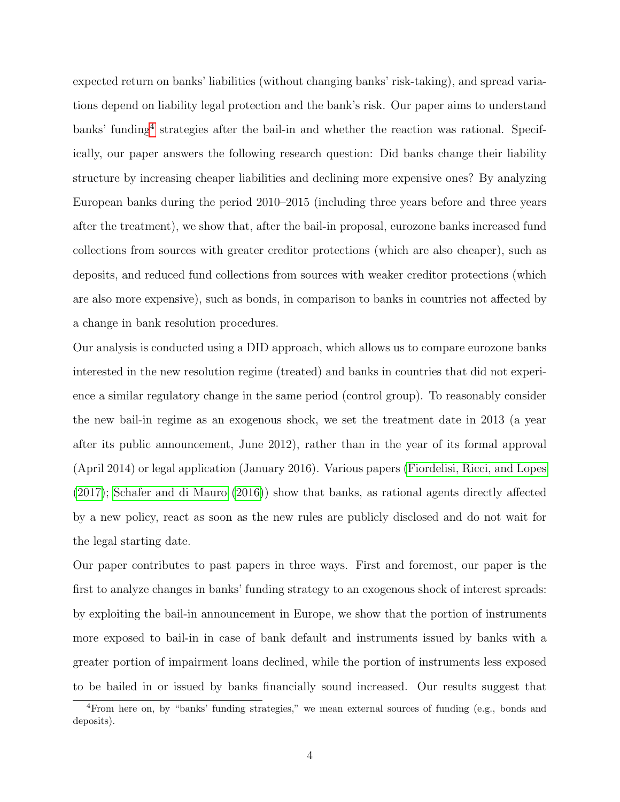expected return on banks' liabilities (without changing banks' risk-taking), and spread variations depend on liability legal protection and the bank's risk. Our paper aims to understand banks' funding<sup>[4](#page-3-0)</sup> strategies after the bail-in and whether the reaction was rational. Specifically, our paper answers the following research question: Did banks change their liability structure by increasing cheaper liabilities and declining more expensive ones? By analyzing European banks during the period 2010–2015 (including three years before and three years after the treatment), we show that, after the bail-in proposal, eurozone banks increased fund collections from sources with greater creditor protections (which are also cheaper), such as deposits, and reduced fund collections from sources with weaker creditor protections (which are also more expensive), such as bonds, in comparison to banks in countries not affected by a change in bank resolution procedures.

Our analysis is conducted using a DID approach, which allows us to compare eurozone banks interested in the new resolution regime (treated) and banks in countries that did not experience a similar regulatory change in the same period (control group). To reasonably consider the new bail-in regime as an exogenous shock, we set the treatment date in 2013 (a year after its public announcement, June 2012), rather than in the year of its formal approval (April 2014) or legal application (January 2016). Various papers [\(Fiordelisi, Ricci, and Lopes](#page-25-2) [\(2017\)](#page-25-2); [Schafer and di Mauro](#page-26-2) [\(2016\)](#page-26-2)) show that banks, as rational agents directly affected by a new policy, react as soon as the new rules are publicly disclosed and do not wait for the legal starting date.

Our paper contributes to past papers in three ways. First and foremost, our paper is the first to analyze changes in banks' funding strategy to an exogenous shock of interest spreads: by exploiting the bail-in announcement in Europe, we show that the portion of instruments more exposed to bail-in in case of bank default and instruments issued by banks with a greater portion of impairment loans declined, while the portion of instruments less exposed to be bailed in or issued by banks financially sound increased. Our results suggest that

<span id="page-3-0"></span><sup>4</sup>From here on, by "banks' funding strategies," we mean external sources of funding (e.g., bonds and deposits).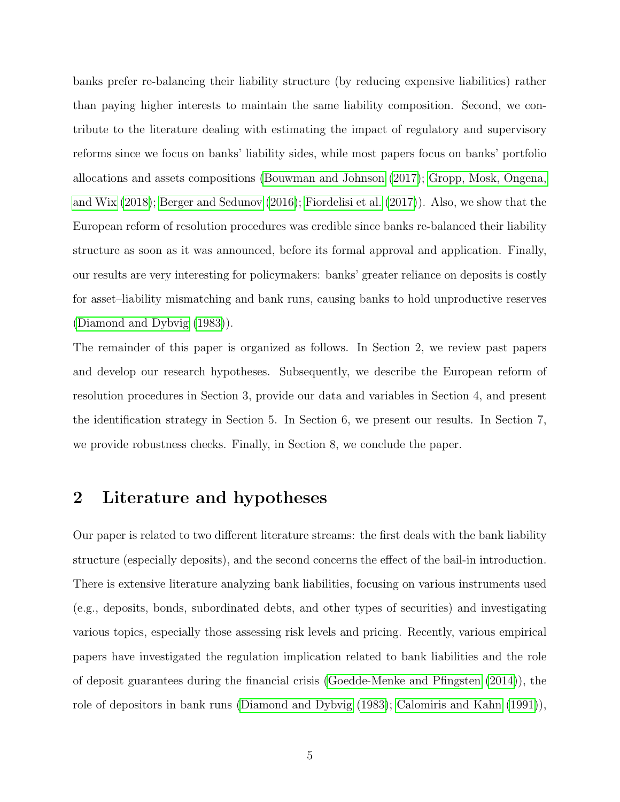banks prefer re-balancing their liability structure (by reducing expensive liabilities) rather than paying higher interests to maintain the same liability composition. Second, we contribute to the literature dealing with estimating the impact of regulatory and supervisory reforms since we focus on banks' liability sides, while most papers focus on banks' portfolio allocations and assets compositions [\(Bouwman and Johnson](#page-24-5) [\(2017\)](#page-24-5); [Gropp, Mosk, Ongena,](#page-25-3) [and Wix](#page-25-3) [\(2018\)](#page-25-3); [Berger and Sedunov](#page-24-6) [\(2016\)](#page-24-6); [Fiordelisi et al.](#page-25-2) [\(2017\)](#page-25-2)). Also, we show that the European reform of resolution procedures was credible since banks re-balanced their liability structure as soon as it was announced, before its formal approval and application. Finally, our results are very interesting for policymakers: banks' greater reliance on deposits is costly for asset–liability mismatching and bank runs, causing banks to hold unproductive reserves [\(Diamond and Dybvig](#page-24-7) [\(1983\)](#page-24-7)).

The remainder of this paper is organized as follows. In Section 2, we review past papers and develop our research hypotheses. Subsequently, we describe the European reform of resolution procedures in Section 3, provide our data and variables in Section 4, and present the identification strategy in Section 5. In Section 6, we present our results. In Section 7, we provide robustness checks. Finally, in Section 8, we conclude the paper.

## 2 Literature and hypotheses

Our paper is related to two different literature streams: the first deals with the bank liability structure (especially deposits), and the second concerns the effect of the bail-in introduction. There is extensive literature analyzing bank liabilities, focusing on various instruments used (e.g., deposits, bonds, subordinated debts, and other types of securities) and investigating various topics, especially those assessing risk levels and pricing. Recently, various empirical papers have investigated the regulation implication related to bank liabilities and the role of deposit guarantees during the financial crisis [\(Goedde-Menke and Pfingsten](#page-25-4) [\(2014\)](#page-25-4)), the role of depositors in bank runs [\(Diamond and Dybvig](#page-24-7) [\(1983\)](#page-24-7); [Calomiris and Kahn](#page-24-8) [\(1991\)](#page-24-8)),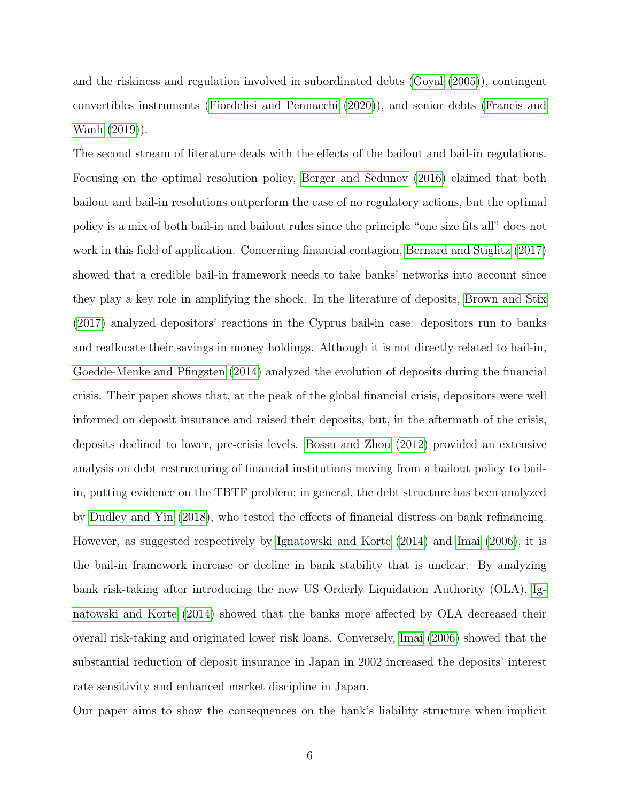and the riskiness and regulation involved in subordinated debts [\(Goyal](#page-25-5) [\(2005\)](#page-25-5)), contingent convertibles instruments [\(Fiordelisi and Pennacchi](#page-25-6) [\(2020\)](#page-25-6)), and senior debts [\(Francis and](#page-25-7) [Wanh](#page-25-7) [\(2019\)](#page-25-7)).

The second stream of literature deals with the effects of the bailout and bail-in regulations. Focusing on the optimal resolution policy, [Berger and Sedunov](#page-24-6) [\(2016\)](#page-24-6) claimed that both bailout and bail-in resolutions outperform the case of no regulatory actions, but the optimal policy is a mix of both bail-in and bailout rules since the principle "one size fits all" does not work in this field of application. Concerning financial contagion, [Bernard and Stiglitz](#page-24-9) [\(2017\)](#page-24-9) showed that a credible bail-in framework needs to take banks' networks into account since they play a key role in amplifying the shock. In the literature of deposits, [Brown and Stix](#page-24-10) [\(2017\)](#page-24-10) analyzed depositors' reactions in the Cyprus bail-in case: depositors run to banks and reallocate their savings in money holdings. Although it is not directly related to bail-in, [Goedde-Menke and Pfingsten](#page-25-4) [\(2014\)](#page-25-4) analyzed the evolution of deposits during the financial crisis. Their paper shows that, at the peak of the global financial crisis, depositors were well informed on deposit insurance and raised their deposits, but, in the aftermath of the crisis, deposits declined to lower, pre-crisis levels. [Bossu and Zhou](#page-24-11) [\(2012\)](#page-24-11) provided an extensive analysis on debt restructuring of financial institutions moving from a bailout policy to bailin, putting evidence on the TBTF problem; in general, the debt structure has been analyzed by [Dudley and Yin](#page-25-8) [\(2018\)](#page-25-8), who tested the effects of financial distress on bank refinancing. However, as suggested respectively by [Ignatowski and Korte](#page-25-9) [\(2014\)](#page-25-9) and [Imai](#page-25-10) [\(2006\)](#page-25-10), it is the bail-in framework increase or decline in bank stability that is unclear. By analyzing bank risk-taking after introducing the new US Orderly Liquidation Authority (OLA), [Ig](#page-25-9)[natowski and Korte](#page-25-9) [\(2014\)](#page-25-9) showed that the banks more affected by OLA decreased their overall risk-taking and originated lower risk loans. Conversely, [Imai](#page-25-10) [\(2006\)](#page-25-10) showed that the substantial reduction of deposit insurance in Japan in 2002 increased the deposits' interest rate sensitivity and enhanced market discipline in Japan.

Our paper aims to show the consequences on the bank's liability structure when implicit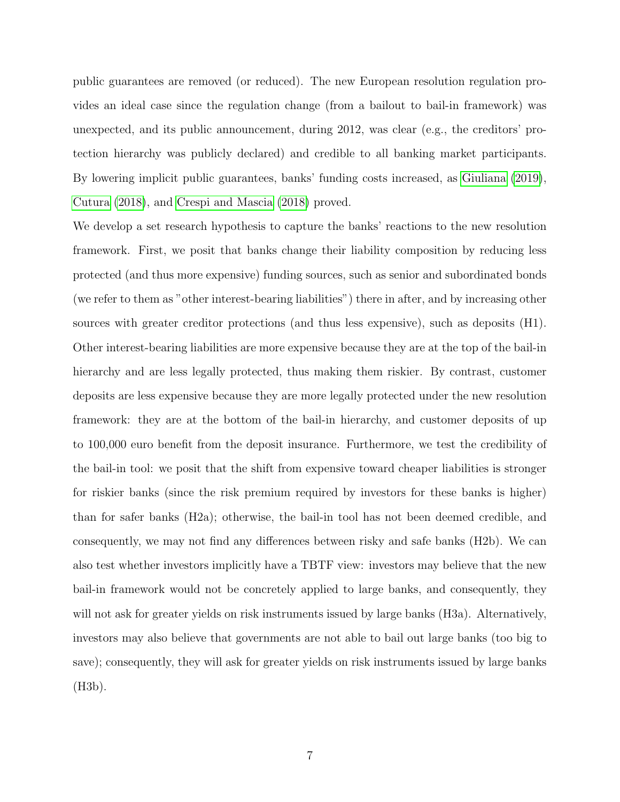public guarantees are removed (or reduced). The new European resolution regulation provides an ideal case since the regulation change (from a bailout to bail-in framework) was unexpected, and its public announcement, during 2012, was clear (e.g., the creditors' protection hierarchy was publicly declared) and credible to all banking market participants. By lowering implicit public guarantees, banks' funding costs increased, as [Giuliana](#page-25-1) [\(2019\)](#page-25-1), [Cutura](#page-24-3) [\(2018\)](#page-24-3), and [Crespi and Mascia](#page-24-4) [\(2018\)](#page-24-4) proved.

We develop a set research hypothesis to capture the banks' reactions to the new resolution framework. First, we posit that banks change their liability composition by reducing less protected (and thus more expensive) funding sources, such as senior and subordinated bonds (we refer to them as "other interest-bearing liabilities") there in after, and by increasing other sources with greater creditor protections (and thus less expensive), such as deposits (H1). Other interest-bearing liabilities are more expensive because they are at the top of the bail-in hierarchy and are less legally protected, thus making them riskier. By contrast, customer deposits are less expensive because they are more legally protected under the new resolution framework: they are at the bottom of the bail-in hierarchy, and customer deposits of up to 100,000 euro benefit from the deposit insurance. Furthermore, we test the credibility of the bail-in tool: we posit that the shift from expensive toward cheaper liabilities is stronger for riskier banks (since the risk premium required by investors for these banks is higher) than for safer banks (H2a); otherwise, the bail-in tool has not been deemed credible, and consequently, we may not find any differences between risky and safe banks (H2b). We can also test whether investors implicitly have a TBTF view: investors may believe that the new bail-in framework would not be concretely applied to large banks, and consequently, they will not ask for greater yields on risk instruments issued by large banks (H3a). Alternatively, investors may also believe that governments are not able to bail out large banks (too big to save); consequently, they will ask for greater yields on risk instruments issued by large banks (H3b).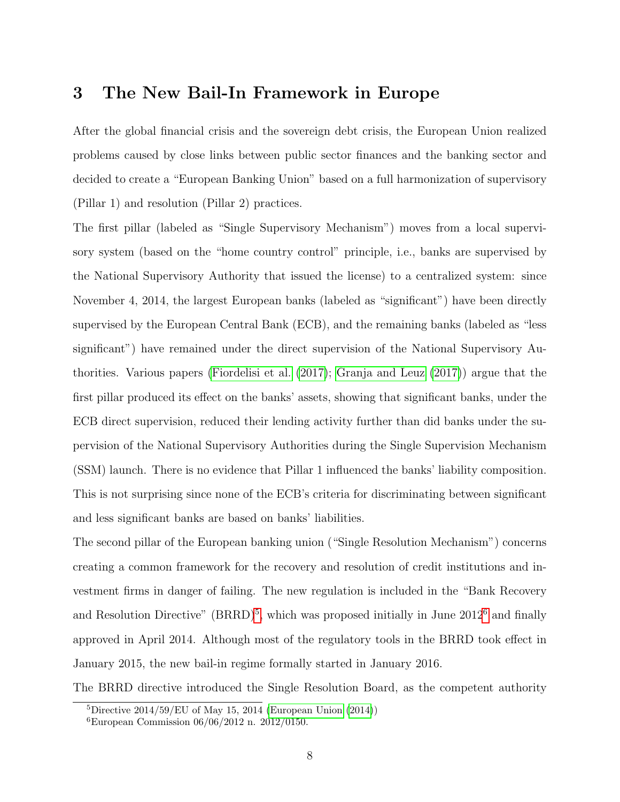## 3 The New Bail-In Framework in Europe

After the global financial crisis and the sovereign debt crisis, the European Union realized problems caused by close links between public sector finances and the banking sector and decided to create a "European Banking Union" based on a full harmonization of supervisory (Pillar 1) and resolution (Pillar 2) practices.

The first pillar (labeled as "Single Supervisory Mechanism") moves from a local supervisory system (based on the "home country control" principle, i.e., banks are supervised by the National Supervisory Authority that issued the license) to a centralized system: since November 4, 2014, the largest European banks (labeled as "significant") have been directly supervised by the European Central Bank (ECB), and the remaining banks (labeled as "less significant") have remained under the direct supervision of the National Supervisory Authorities. Various papers [\(Fiordelisi et al.](#page-25-2) [\(2017\)](#page-25-2); [Granja and Leuz](#page-25-11) [\(2017\)](#page-25-11)) argue that the first pillar produced its effect on the banks' assets, showing that significant banks, under the ECB direct supervision, reduced their lending activity further than did banks under the supervision of the National Supervisory Authorities during the Single Supervision Mechanism (SSM) launch. There is no evidence that Pillar 1 influenced the banks' liability composition. This is not surprising since none of the ECB's criteria for discriminating between significant and less significant banks are based on banks' liabilities.

The second pillar of the European banking union ("Single Resolution Mechanism") concerns creating a common framework for the recovery and resolution of credit institutions and investment firms in danger of failing. The new regulation is included in the "Bank Recovery and Resolution Directive" (BRRD)<sup>[5](#page-7-0)</sup>, which was proposed initially in June 2012<sup>[6](#page-7-1)</sup> and finally approved in April 2014. Although most of the regulatory tools in the BRRD took effect in January 2015, the new bail-in regime formally started in January 2016.

The BRRD directive introduced the Single Resolution Board, as the competent authority

<span id="page-7-0"></span> ${}^{5}$ Directive 2014/59/EU of May 15, 2014 [\(European Union](#page-25-12) [\(2014\)](#page-25-12))

<span id="page-7-1"></span><sup>6</sup>European Commission 06/06/2012 n. 2012/0150.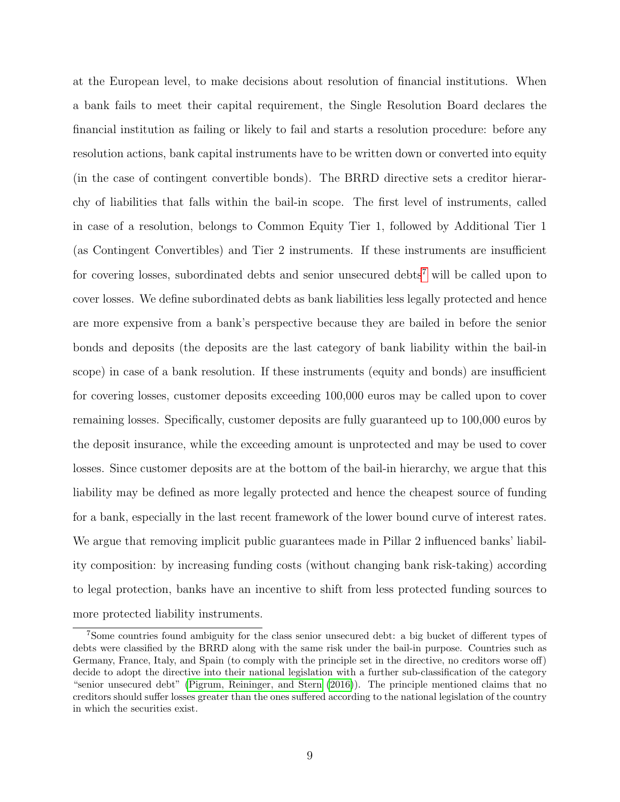at the European level, to make decisions about resolution of financial institutions. When a bank fails to meet their capital requirement, the Single Resolution Board declares the financial institution as failing or likely to fail and starts a resolution procedure: before any resolution actions, bank capital instruments have to be written down or converted into equity (in the case of contingent convertible bonds). The BRRD directive sets a creditor hierarchy of liabilities that falls within the bail-in scope. The first level of instruments, called in case of a resolution, belongs to Common Equity Tier 1, followed by Additional Tier 1 (as Contingent Convertibles) and Tier 2 instruments. If these instruments are insufficient for covering losses, subordinated debts and senior unsecured debts<sup>[7](#page-8-0)</sup> will be called upon to cover losses. We define subordinated debts as bank liabilities less legally protected and hence are more expensive from a bank's perspective because they are bailed in before the senior bonds and deposits (the deposits are the last category of bank liability within the bail-in scope) in case of a bank resolution. If these instruments (equity and bonds) are insufficient for covering losses, customer deposits exceeding 100,000 euros may be called upon to cover remaining losses. Specifically, customer deposits are fully guaranteed up to 100,000 euros by the deposit insurance, while the exceeding amount is unprotected and may be used to cover losses. Since customer deposits are at the bottom of the bail-in hierarchy, we argue that this liability may be defined as more legally protected and hence the cheapest source of funding for a bank, especially in the last recent framework of the lower bound curve of interest rates. We argue that removing implicit public guarantees made in Pillar 2 influenced banks' liability composition: by increasing funding costs (without changing bank risk-taking) according to legal protection, banks have an incentive to shift from less protected funding sources to more protected liability instruments.

<span id="page-8-0"></span><sup>7</sup>Some countries found ambiguity for the class senior unsecured debt: a big bucket of different types of debts were classified by the BRRD along with the same risk under the bail-in purpose. Countries such as Germany, France, Italy, and Spain (to comply with the principle set in the directive, no creditors worse off) decide to adopt the directive into their national legislation with a further sub-classification of the category "senior unsecured debt" [\(Pigrum, Reininger, and Stern](#page-25-13) [\(2016\)](#page-25-13)). The principle mentioned claims that no creditors should suffer losses greater than the ones suffered according to the national legislation of the country in which the securities exist.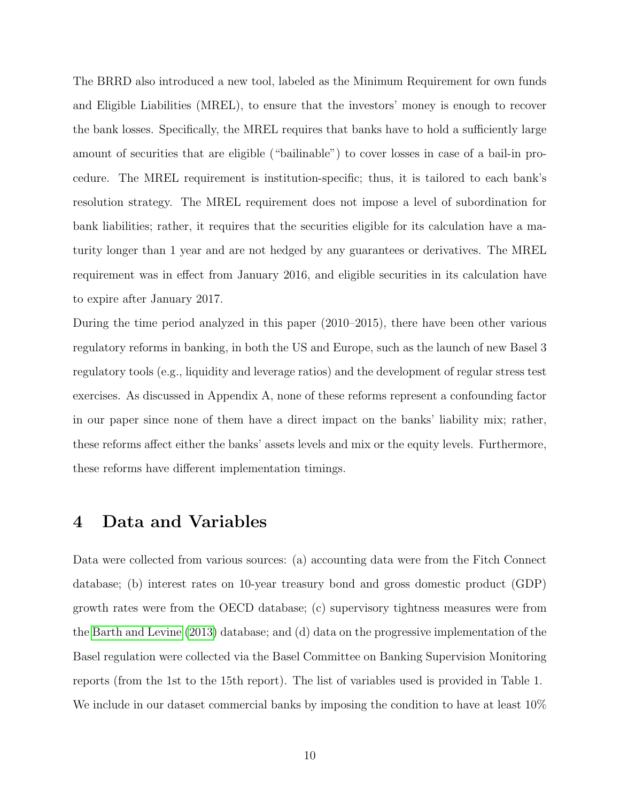The BRRD also introduced a new tool, labeled as the Minimum Requirement for own funds and Eligible Liabilities (MREL), to ensure that the investors' money is enough to recover the bank losses. Specifically, the MREL requires that banks have to hold a sufficiently large amount of securities that are eligible ("bailinable") to cover losses in case of a bail-in procedure. The MREL requirement is institution-specific; thus, it is tailored to each bank's resolution strategy. The MREL requirement does not impose a level of subordination for bank liabilities; rather, it requires that the securities eligible for its calculation have a maturity longer than 1 year and are not hedged by any guarantees or derivatives. The MREL requirement was in effect from January 2016, and eligible securities in its calculation have to expire after January 2017.

During the time period analyzed in this paper (2010–2015), there have been other various regulatory reforms in banking, in both the US and Europe, such as the launch of new Basel 3 regulatory tools (e.g., liquidity and leverage ratios) and the development of regular stress test exercises. As discussed in Appendix A, none of these reforms represent a confounding factor in our paper since none of them have a direct impact on the banks' liability mix; rather, these reforms affect either the banks' assets levels and mix or the equity levels. Furthermore, these reforms have different implementation timings.

## 4 Data and Variables

Data were collected from various sources: (a) accounting data were from the Fitch Connect database; (b) interest rates on 10-year treasury bond and gross domestic product (GDP) growth rates were from the OECD database; (c) supervisory tightness measures were from the [Barth and Levine](#page-24-12) [\(2013\)](#page-24-12) database; and (d) data on the progressive implementation of the Basel regulation were collected via the Basel Committee on Banking Supervision Monitoring reports (from the 1st to the 15th report). The list of variables used is provided in Table 1. We include in our dataset commercial banks by imposing the condition to have at least  $10\%$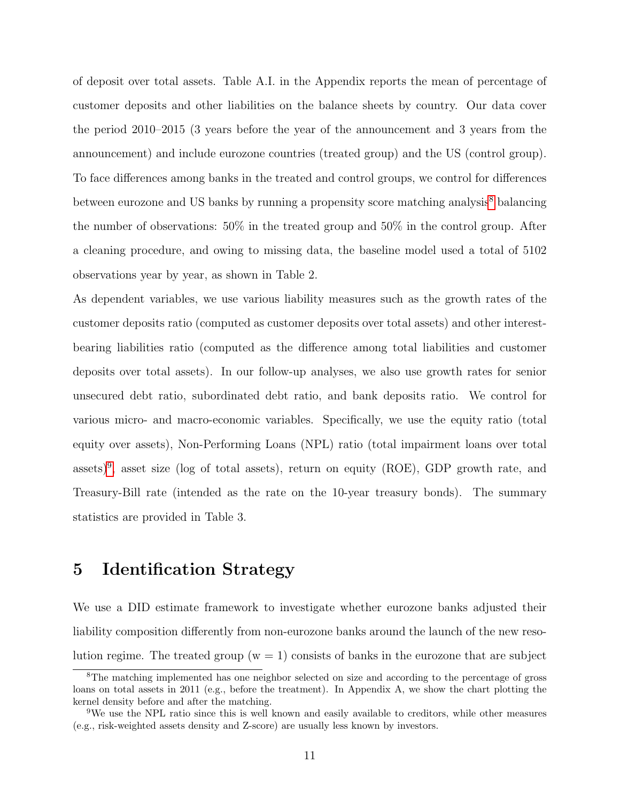of deposit over total assets. Table A.I. in the Appendix reports the mean of percentage of customer deposits and other liabilities on the balance sheets by country. Our data cover the period 2010–2015 (3 years before the year of the announcement and 3 years from the announcement) and include eurozone countries (treated group) and the US (control group). To face differences among banks in the treated and control groups, we control for differences between eurozone and US banks by running a propensity score matching analysis<sup>[8](#page-10-0)</sup> balancing the number of observations: 50% in the treated group and 50% in the control group. After a cleaning procedure, and owing to missing data, the baseline model used a total of 5102 observations year by year, as shown in Table 2.

As dependent variables, we use various liability measures such as the growth rates of the customer deposits ratio (computed as customer deposits over total assets) and other interestbearing liabilities ratio (computed as the difference among total liabilities and customer deposits over total assets). In our follow-up analyses, we also use growth rates for senior unsecured debt ratio, subordinated debt ratio, and bank deposits ratio. We control for various micro- and macro-economic variables. Specifically, we use the equity ratio (total equity over assets), Non-Performing Loans (NPL) ratio (total impairment loans over total assets)<sup>[9](#page-10-1)</sup>, asset size (log of total assets), return on equity (ROE), GDP growth rate, and Treasury-Bill rate (intended as the rate on the 10-year treasury bonds). The summary statistics are provided in Table 3.

## 5 Identification Strategy

We use a DID estimate framework to investigate whether eurozone banks adjusted their liability composition differently from non-eurozone banks around the launch of the new resolution regime. The treated group  $(w = 1)$  consists of banks in the eurozone that are subject

<span id="page-10-0"></span><sup>&</sup>lt;sup>8</sup>The matching implemented has one neighbor selected on size and according to the percentage of gross loans on total assets in 2011 (e.g., before the treatment). In Appendix A, we show the chart plotting the kernel density before and after the matching.

<span id="page-10-1"></span><sup>9</sup>We use the NPL ratio since this is well known and easily available to creditors, while other measures (e.g., risk-weighted assets density and Z-score) are usually less known by investors.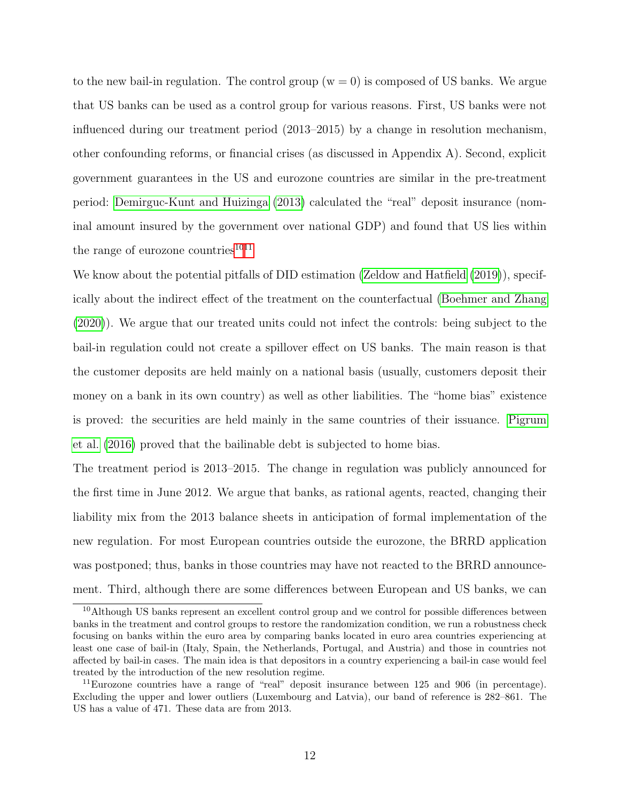to the new bail-in regulation. The control group  $(w = 0)$  is composed of US banks. We argue that US banks can be used as a control group for various reasons. First, US banks were not influenced during our treatment period (2013–2015) by a change in resolution mechanism, other confounding reforms, or financial crises (as discussed in Appendix A). Second, explicit government guarantees in the US and eurozone countries are similar in the pre-treatment period: [Demirguc-Kunt and Huizinga](#page-24-13) [\(2013\)](#page-24-13) calculated the "real" deposit insurance (nominal amount insured by the government over national GDP) and found that US lies within the range of eurozone countries $1011$  $1011$ 

We know about the potential pitfalls of DID estimation [\(Zeldow and Hatfield](#page-26-3) [\(2019\)](#page-26-3)), specifically about the indirect effect of the treatment on the counterfactual [\(Boehmer and Zhang](#page-24-14) [\(2020\)](#page-24-14)). We argue that our treated units could not infect the controls: being subject to the bail-in regulation could not create a spillover effect on US banks. The main reason is that the customer deposits are held mainly on a national basis (usually, customers deposit their money on a bank in its own country) as well as other liabilities. The "home bias" existence is proved: the securities are held mainly in the same countries of their issuance. [Pigrum](#page-25-13) [et al.](#page-25-13) [\(2016\)](#page-25-13) proved that the bailinable debt is subjected to home bias.

The treatment period is 2013–2015. The change in regulation was publicly announced for the first time in June 2012. We argue that banks, as rational agents, reacted, changing their liability mix from the 2013 balance sheets in anticipation of formal implementation of the new regulation. For most European countries outside the eurozone, the BRRD application was postponed; thus, banks in those countries may have not reacted to the BRRD announcement. Third, although there are some differences between European and US banks, we can

<span id="page-11-0"></span><sup>10</sup>Although US banks represent an excellent control group and we control for possible differences between banks in the treatment and control groups to restore the randomization condition, we run a robustness check focusing on banks within the euro area by comparing banks located in euro area countries experiencing at least one case of bail-in (Italy, Spain, the Netherlands, Portugal, and Austria) and those in countries not affected by bail-in cases. The main idea is that depositors in a country experiencing a bail-in case would feel treated by the introduction of the new resolution regime.

<span id="page-11-1"></span><sup>&</sup>lt;sup>11</sup>Eurozone countries have a range of "real" deposit insurance between 125 and 906 (in percentage). Excluding the upper and lower outliers (Luxembourg and Latvia), our band of reference is 282–861. The US has a value of 471. These data are from 2013.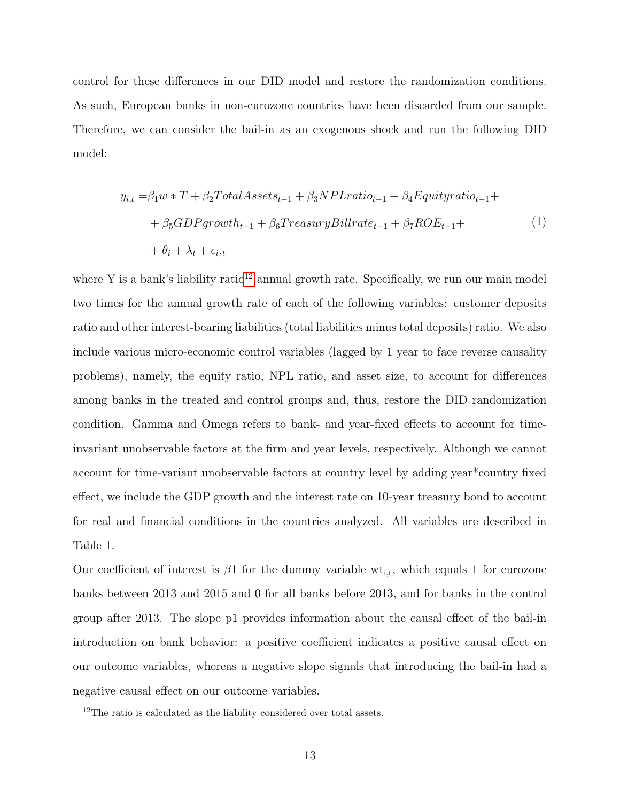control for these differences in our DID model and restore the randomization conditions. As such, European banks in non-eurozone countries have been discarded from our sample. Therefore, we can consider the bail-in as an exogenous shock and run the following DID model:

$$
y_{i,t} = \beta_1 w * T + \beta_2 Total Assets_{t-1} + \beta_3 NPL ratio_{t-1} + \beta_4 Equity ratio_{t-1} ++ \beta_5 GDP growth_{t-1} + \beta_6 Treasury Bill rate_{t-1} + \beta_7 ROE_{t-1} ++ \theta_i + \lambda_t + \epsilon_{i,t}
$$
 (1)

where Y is a bank's liability ratio<sup>[12](#page-12-0)</sup> annual growth rate. Specifically, we run our main model two times for the annual growth rate of each of the following variables: customer deposits ratio and other interest-bearing liabilities (total liabilities minus total deposits) ratio. We also include various micro-economic control variables (lagged by 1 year to face reverse causality problems), namely, the equity ratio, NPL ratio, and asset size, to account for differences among banks in the treated and control groups and, thus, restore the DID randomization condition. Gamma and Omega refers to bank- and year-fixed effects to account for timeinvariant unobservable factors at the firm and year levels, respectively. Although we cannot account for time-variant unobservable factors at country level by adding year\*country fixed effect, we include the GDP growth and the interest rate on 10-year treasury bond to account for real and financial conditions in the countries analyzed. All variables are described in Table 1.

Our coefficient of interest is  $\beta$ 1 for the dummy variable wt<sub>i,t</sub>, which equals 1 for eurozone banks between 2013 and 2015 and 0 for all banks before 2013, and for banks in the control group after 2013. The slope p1 provides information about the causal effect of the bail-in introduction on bank behavior: a positive coefficient indicates a positive causal effect on our outcome variables, whereas a negative slope signals that introducing the bail-in had a negative causal effect on our outcome variables.

<span id="page-12-0"></span><sup>&</sup>lt;sup>12</sup>The ratio is calculated as the liability considered over total assets.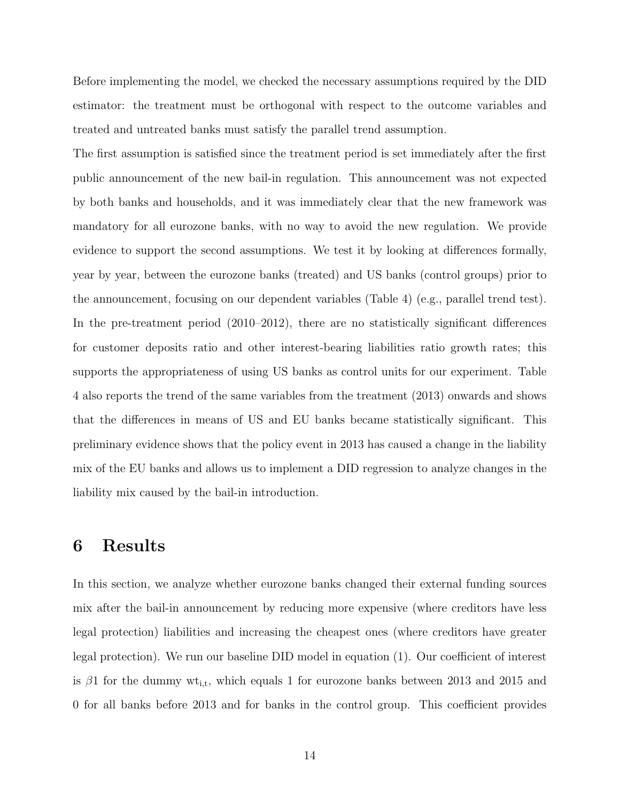Before implementing the model, we checked the necessary assumptions required by the DID estimator: the treatment must be orthogonal with respect to the outcome variables and treated and untreated banks must satisfy the parallel trend assumption.

The first assumption is satisfied since the treatment period is set immediately after the first public announcement of the new bail-in regulation. This announcement was not expected by both banks and households, and it was immediately clear that the new framework was mandatory for all eurozone banks, with no way to avoid the new regulation. We provide evidence to support the second assumptions. We test it by looking at differences formally, year by year, between the eurozone banks (treated) and US banks (control groups) prior to the announcement, focusing on our dependent variables (Table 4) (e.g., parallel trend test). In the pre-treatment period (2010–2012), there are no statistically significant differences for customer deposits ratio and other interest-bearing liabilities ratio growth rates; this supports the appropriateness of using US banks as control units for our experiment. Table 4 also reports the trend of the same variables from the treatment (2013) onwards and shows that the differences in means of US and EU banks became statistically significant. This preliminary evidence shows that the policy event in 2013 has caused a change in the liability mix of the EU banks and allows us to implement a DID regression to analyze changes in the liability mix caused by the bail-in introduction.

### 6 Results

In this section, we analyze whether eurozone banks changed their external funding sources mix after the bail-in announcement by reducing more expensive (where creditors have less legal protection) liabilities and increasing the cheapest ones (where creditors have greater legal protection). We run our baseline DID model in equation (1). Our coefficient of interest is  $\beta$ 1 for the dummy wt<sub>i,t</sub>, which equals 1 for eurozone banks between 2013 and 2015 and 0 for all banks before 2013 and for banks in the control group. This coefficient provides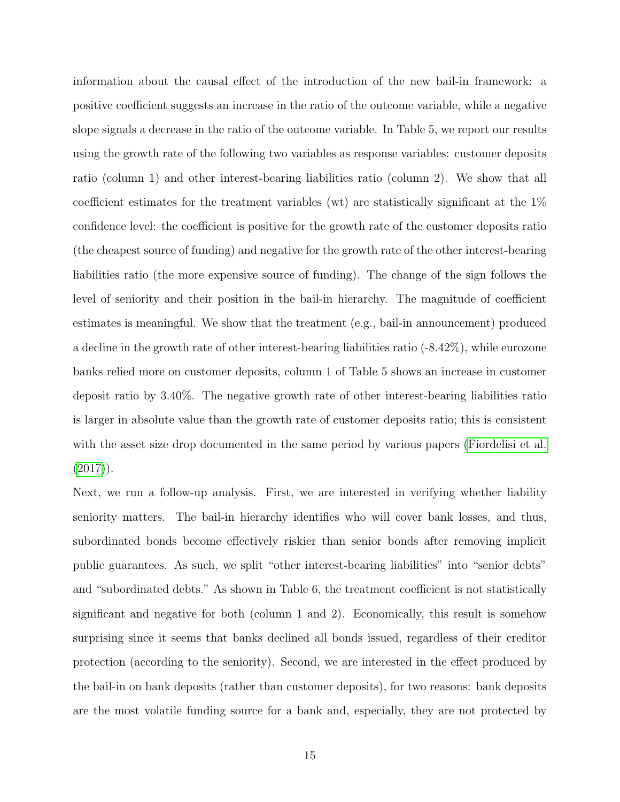information about the causal effect of the introduction of the new bail-in framework: a positive coefficient suggests an increase in the ratio of the outcome variable, while a negative slope signals a decrease in the ratio of the outcome variable. In Table 5, we report our results using the growth rate of the following two variables as response variables: customer deposits ratio (column 1) and other interest-bearing liabilities ratio (column 2). We show that all coefficient estimates for the treatment variables (wt) are statistically significant at the 1% confidence level: the coefficient is positive for the growth rate of the customer deposits ratio (the cheapest source of funding) and negative for the growth rate of the other interest-bearing liabilities ratio (the more expensive source of funding). The change of the sign follows the level of seniority and their position in the bail-in hierarchy. The magnitude of coefficient estimates is meaningful. We show that the treatment (e.g., bail-in announcement) produced a decline in the growth rate of other interest-bearing liabilities ratio (-8.42%), while eurozone banks relied more on customer deposits, column 1 of Table 5 shows an increase in customer deposit ratio by 3.40%. The negative growth rate of other interest-bearing liabilities ratio is larger in absolute value than the growth rate of customer deposits ratio; this is consistent with the asset size drop documented in the same period by various papers [\(Fiordelisi et al.](#page-25-2)  $(2017)$ .

Next, we run a follow-up analysis. First, we are interested in verifying whether liability seniority matters. The bail-in hierarchy identifies who will cover bank losses, and thus, subordinated bonds become effectively riskier than senior bonds after removing implicit public guarantees. As such, we split "other interest-bearing liabilities" into "senior debts" and "subordinated debts." As shown in Table 6, the treatment coefficient is not statistically significant and negative for both (column 1 and 2). Economically, this result is somehow surprising since it seems that banks declined all bonds issued, regardless of their creditor protection (according to the seniority). Second, we are interested in the effect produced by the bail-in on bank deposits (rather than customer deposits), for two reasons: bank deposits are the most volatile funding source for a bank and, especially, they are not protected by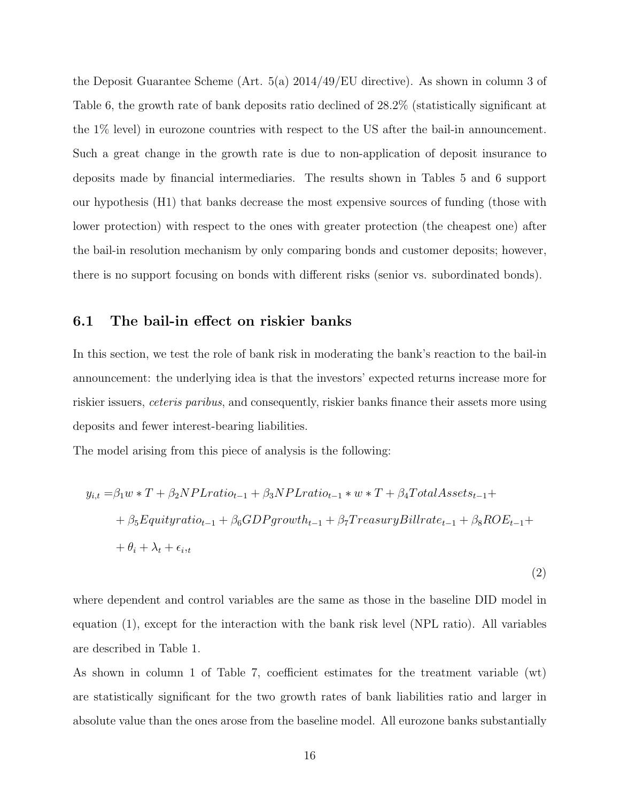the Deposit Guarantee Scheme (Art. 5(a) 2014/49/EU directive). As shown in column 3 of Table 6, the growth rate of bank deposits ratio declined of 28.2% (statistically significant at the 1% level) in eurozone countries with respect to the US after the bail-in announcement. Such a great change in the growth rate is due to non-application of deposit insurance to deposits made by financial intermediaries. The results shown in Tables 5 and 6 support our hypothesis (H1) that banks decrease the most expensive sources of funding (those with lower protection) with respect to the ones with greater protection (the cheapest one) after the bail-in resolution mechanism by only comparing bonds and customer deposits; however, there is no support focusing on bonds with different risks (senior vs. subordinated bonds).

#### 6.1 The bail-in effect on riskier banks

In this section, we test the role of bank risk in moderating the bank's reaction to the bail-in announcement: the underlying idea is that the investors' expected returns increase more for riskier issuers, ceteris paribus, and consequently, riskier banks finance their assets more using deposits and fewer interest-bearing liabilities.

The model arising from this piece of analysis is the following:

$$
y_{i,t} = \beta_1 w * T + \beta_2 NPL ratio_{t-1} + \beta_3 NPL ratio_{t-1} * w * T + \beta_4 Total Asset_{t-1} +
$$
  
+ 
$$
\beta_5 Equity ratio_{t-1} + \beta_6 GDP growth_{t-1} + \beta_7 Treasury Bill rate_{t-1} + \beta_8 ROE_{t-1} +
$$
  
+ 
$$
\theta_i + \lambda_t + \epsilon_{i,t}
$$

(2)

where dependent and control variables are the same as those in the baseline DID model in equation (1), except for the interaction with the bank risk level (NPL ratio). All variables are described in Table 1.

As shown in column 1 of Table 7, coefficient estimates for the treatment variable (wt) are statistically significant for the two growth rates of bank liabilities ratio and larger in absolute value than the ones arose from the baseline model. All eurozone banks substantially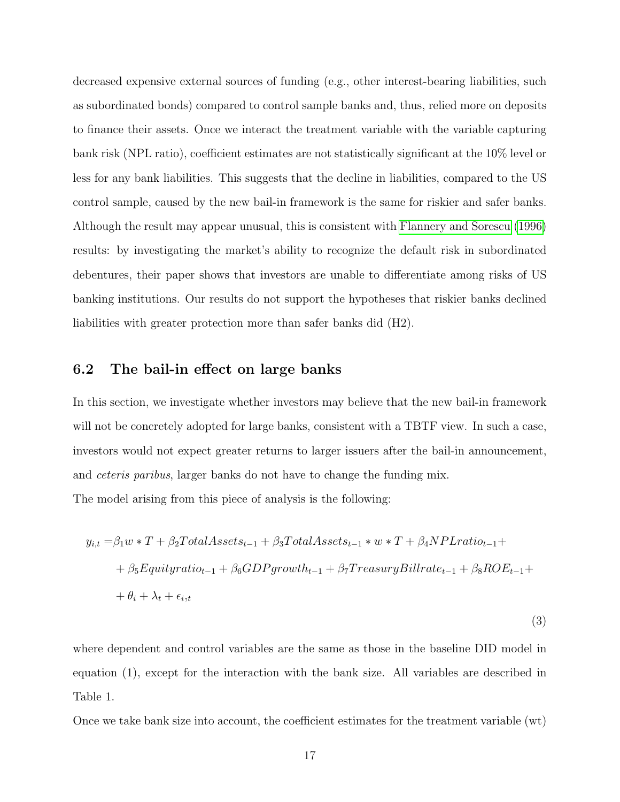decreased expensive external sources of funding (e.g., other interest-bearing liabilities, such as subordinated bonds) compared to control sample banks and, thus, relied more on deposits to finance their assets. Once we interact the treatment variable with the variable capturing bank risk (NPL ratio), coefficient estimates are not statistically significant at the 10% level or less for any bank liabilities. This suggests that the decline in liabilities, compared to the US control sample, caused by the new bail-in framework is the same for riskier and safer banks. Although the result may appear unusual, this is consistent with [Flannery and Sorescu](#page-25-14) [\(1996\)](#page-25-14) results: by investigating the market's ability to recognize the default risk in subordinated debentures, their paper shows that investors are unable to differentiate among risks of US banking institutions. Our results do not support the hypotheses that riskier banks declined liabilities with greater protection more than safer banks did (H2).

#### 6.2 The bail-in effect on large banks

In this section, we investigate whether investors may believe that the new bail-in framework will not be concretely adopted for large banks, consistent with a TBTF view. In such a case, investors would not expect greater returns to larger issuers after the bail-in announcement, and ceteris paribus, larger banks do not have to change the funding mix.

The model arising from this piece of analysis is the following:

$$
y_{i,t} = \beta_1 w * T + \beta_2 Total Assets_{t-1} + \beta_3 Total Assets_{t-1} * w * T + \beta_4 N PL ratio_{t-1} +
$$
  
+ 
$$
\beta_5 Equity ratio_{t-1} + \beta_6 GDP growth_{t-1} + \beta_7 Treasury Bill rate_{t-1} + \beta_8 ROE_{t-1} +
$$
  
+ 
$$
\theta_i + \lambda_t + \epsilon_{i,t}
$$

(3)

where dependent and control variables are the same as those in the baseline DID model in equation (1), except for the interaction with the bank size. All variables are described in Table 1.

Once we take bank size into account, the coefficient estimates for the treatment variable (wt)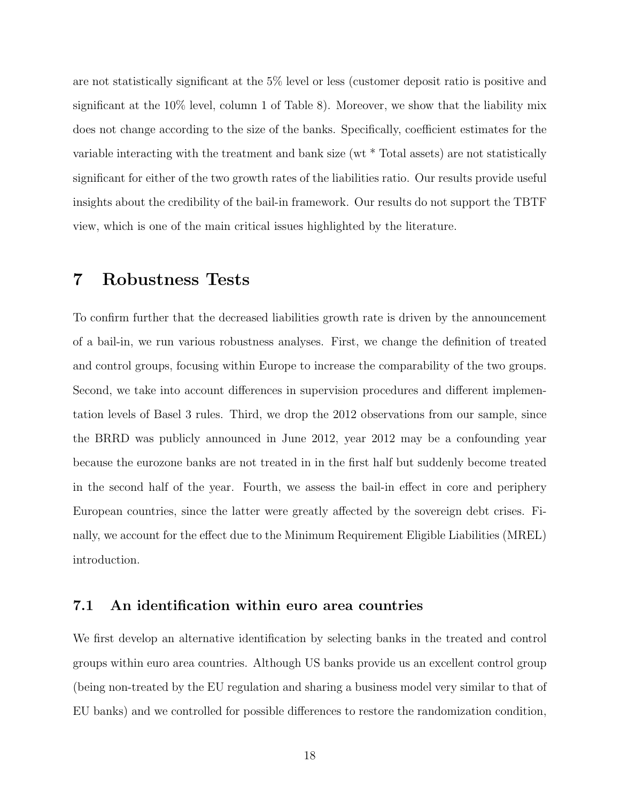are not statistically significant at the 5% level or less (customer deposit ratio is positive and significant at the 10% level, column 1 of Table 8). Moreover, we show that the liability mix does not change according to the size of the banks. Specifically, coefficient estimates for the variable interacting with the treatment and bank size (wt \* Total assets) are not statistically significant for either of the two growth rates of the liabilities ratio. Our results provide useful insights about the credibility of the bail-in framework. Our results do not support the TBTF view, which is one of the main critical issues highlighted by the literature.

### 7 Robustness Tests

To confirm further that the decreased liabilities growth rate is driven by the announcement of a bail-in, we run various robustness analyses. First, we change the definition of treated and control groups, focusing within Europe to increase the comparability of the two groups. Second, we take into account differences in supervision procedures and different implementation levels of Basel 3 rules. Third, we drop the 2012 observations from our sample, since the BRRD was publicly announced in June 2012, year 2012 may be a confounding year because the eurozone banks are not treated in in the first half but suddenly become treated in the second half of the year. Fourth, we assess the bail-in effect in core and periphery European countries, since the latter were greatly affected by the sovereign debt crises. Finally, we account for the effect due to the Minimum Requirement Eligible Liabilities (MREL) introduction.

#### 7.1 An identification within euro area countries

We first develop an alternative identification by selecting banks in the treated and control groups within euro area countries. Although US banks provide us an excellent control group (being non-treated by the EU regulation and sharing a business model very similar to that of EU banks) and we controlled for possible differences to restore the randomization condition,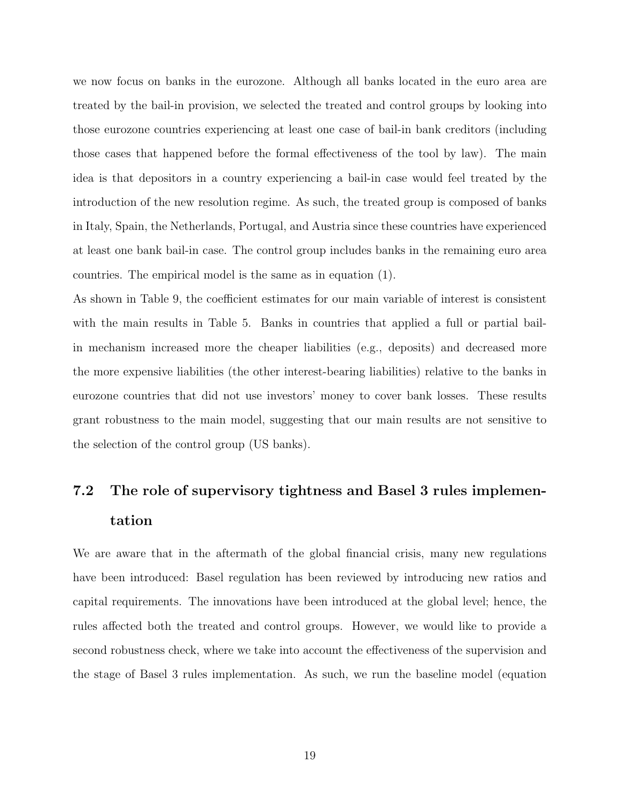we now focus on banks in the eurozone. Although all banks located in the euro area are treated by the bail-in provision, we selected the treated and control groups by looking into those eurozone countries experiencing at least one case of bail-in bank creditors (including those cases that happened before the formal effectiveness of the tool by law). The main idea is that depositors in a country experiencing a bail-in case would feel treated by the introduction of the new resolution regime. As such, the treated group is composed of banks in Italy, Spain, the Netherlands, Portugal, and Austria since these countries have experienced at least one bank bail-in case. The control group includes banks in the remaining euro area countries. The empirical model is the same as in equation (1).

As shown in Table 9, the coefficient estimates for our main variable of interest is consistent with the main results in Table 5. Banks in countries that applied a full or partial bailin mechanism increased more the cheaper liabilities (e.g., deposits) and decreased more the more expensive liabilities (the other interest-bearing liabilities) relative to the banks in eurozone countries that did not use investors' money to cover bank losses. These results grant robustness to the main model, suggesting that our main results are not sensitive to the selection of the control group (US banks).

## 7.2 The role of supervisory tightness and Basel 3 rules implementation

We are aware that in the aftermath of the global financial crisis, many new regulations have been introduced: Basel regulation has been reviewed by introducing new ratios and capital requirements. The innovations have been introduced at the global level; hence, the rules affected both the treated and control groups. However, we would like to provide a second robustness check, where we take into account the effectiveness of the supervision and the stage of Basel 3 rules implementation. As such, we run the baseline model (equation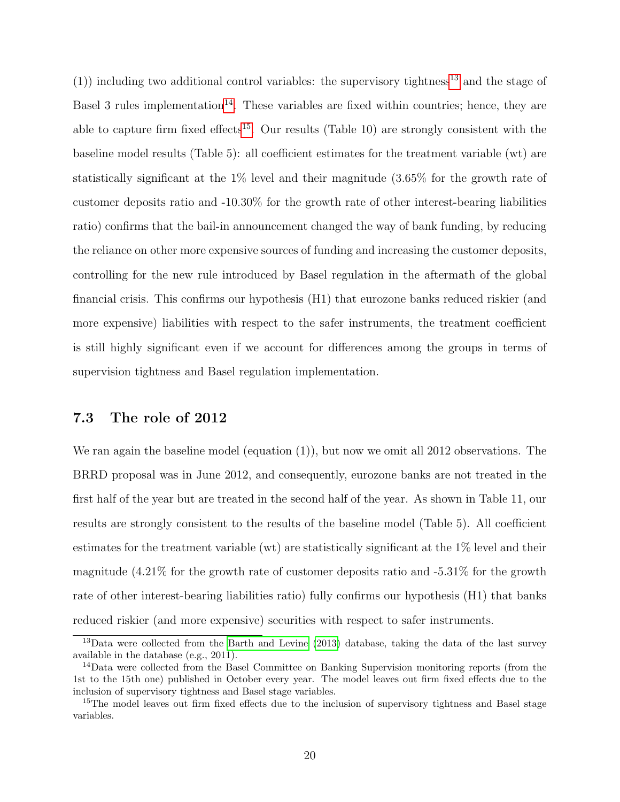(1)) including two additional control variables: the supervisory tightness<sup>[13](#page-19-0)</sup> and the stage of Basel 3 rules implementation<sup>[14](#page-19-1)</sup>. These variables are fixed within countries; hence, they are able to capture firm fixed effects<sup>[15](#page-19-2)</sup>. Our results (Table 10) are strongly consistent with the baseline model results (Table 5): all coefficient estimates for the treatment variable (wt) are statistically significant at the 1% level and their magnitude (3.65% for the growth rate of customer deposits ratio and -10.30% for the growth rate of other interest-bearing liabilities ratio) confirms that the bail-in announcement changed the way of bank funding, by reducing the reliance on other more expensive sources of funding and increasing the customer deposits, controlling for the new rule introduced by Basel regulation in the aftermath of the global financial crisis. This confirms our hypothesis (H1) that eurozone banks reduced riskier (and more expensive) liabilities with respect to the safer instruments, the treatment coefficient is still highly significant even if we account for differences among the groups in terms of supervision tightness and Basel regulation implementation.

#### 7.3 The role of 2012

We ran again the baseline model (equation  $(1)$ ), but now we omit all 2012 observations. The BRRD proposal was in June 2012, and consequently, eurozone banks are not treated in the first half of the year but are treated in the second half of the year. As shown in Table 11, our results are strongly consistent to the results of the baseline model (Table 5). All coefficient estimates for the treatment variable (wt) are statistically significant at the 1% level and their magnitude (4.21% for the growth rate of customer deposits ratio and -5.31% for the growth rate of other interest-bearing liabilities ratio) fully confirms our hypothesis (H1) that banks reduced riskier (and more expensive) securities with respect to safer instruments.

<span id="page-19-0"></span><sup>&</sup>lt;sup>13</sup>Data were collected from the [Barth and Levine](#page-24-12) [\(2013\)](#page-24-12) database, taking the data of the last survey available in the database (e.g., 2011).

<span id="page-19-1"></span><sup>&</sup>lt;sup>14</sup>Data were collected from the Basel Committee on Banking Supervision monitoring reports (from the 1st to the 15th one) published in October every year. The model leaves out firm fixed effects due to the inclusion of supervisory tightness and Basel stage variables.

<span id="page-19-2"></span><sup>&</sup>lt;sup>15</sup>The model leaves out firm fixed effects due to the inclusion of supervisory tightness and Basel stage variables.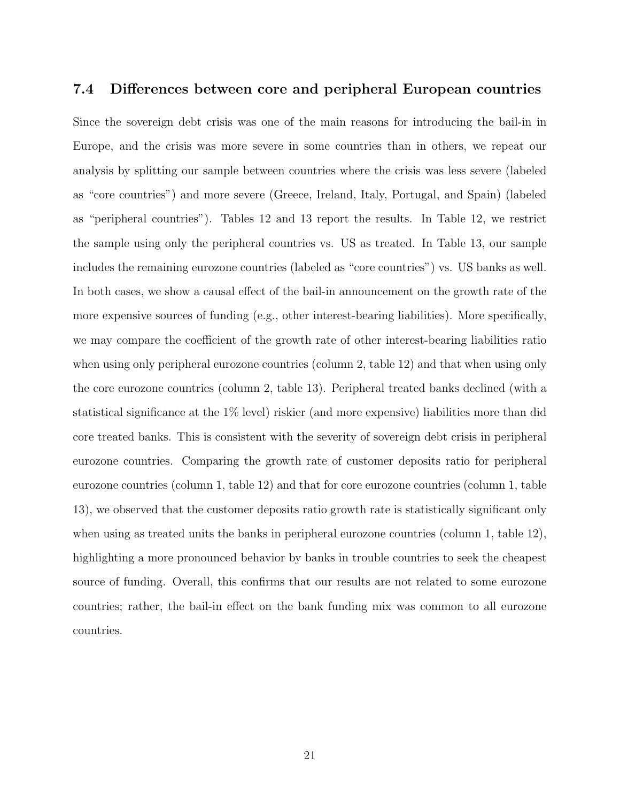#### 7.4 Differences between core and peripheral European countries

Since the sovereign debt crisis was one of the main reasons for introducing the bail-in in Europe, and the crisis was more severe in some countries than in others, we repeat our analysis by splitting our sample between countries where the crisis was less severe (labeled as "core countries") and more severe (Greece, Ireland, Italy, Portugal, and Spain) (labeled as "peripheral countries"). Tables 12 and 13 report the results. In Table 12, we restrict the sample using only the peripheral countries vs. US as treated. In Table 13, our sample includes the remaining eurozone countries (labeled as "core countries") vs. US banks as well. In both cases, we show a causal effect of the bail-in announcement on the growth rate of the more expensive sources of funding (e.g., other interest-bearing liabilities). More specifically, we may compare the coefficient of the growth rate of other interest-bearing liabilities ratio when using only peripheral eurozone countries (column 2, table 12) and that when using only the core eurozone countries (column 2, table 13). Peripheral treated banks declined (with a statistical significance at the 1% level) riskier (and more expensive) liabilities more than did core treated banks. This is consistent with the severity of sovereign debt crisis in peripheral eurozone countries. Comparing the growth rate of customer deposits ratio for peripheral eurozone countries (column 1, table 12) and that for core eurozone countries (column 1, table 13), we observed that the customer deposits ratio growth rate is statistically significant only when using as treated units the banks in peripheral eurozone countries (column 1, table 12), highlighting a more pronounced behavior by banks in trouble countries to seek the cheapest source of funding. Overall, this confirms that our results are not related to some eurozone countries; rather, the bail-in effect on the bank funding mix was common to all eurozone countries.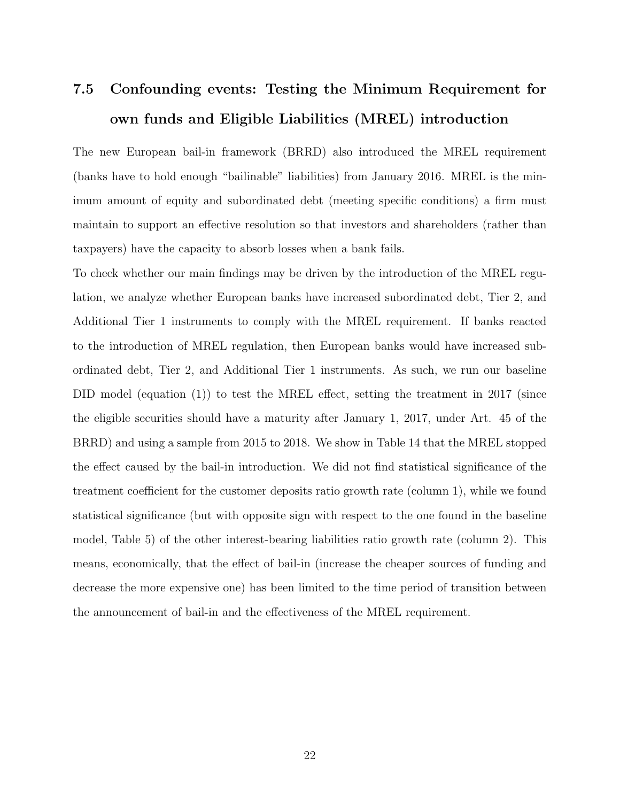## 7.5 Confounding events: Testing the Minimum Requirement for own funds and Eligible Liabilities (MREL) introduction

The new European bail-in framework (BRRD) also introduced the MREL requirement (banks have to hold enough "bailinable" liabilities) from January 2016. MREL is the minimum amount of equity and subordinated debt (meeting specific conditions) a firm must maintain to support an effective resolution so that investors and shareholders (rather than taxpayers) have the capacity to absorb losses when a bank fails.

To check whether our main findings may be driven by the introduction of the MREL regulation, we analyze whether European banks have increased subordinated debt, Tier 2, and Additional Tier 1 instruments to comply with the MREL requirement. If banks reacted to the introduction of MREL regulation, then European banks would have increased subordinated debt, Tier 2, and Additional Tier 1 instruments. As such, we run our baseline DID model (equation  $(1)$ ) to test the MREL effect, setting the treatment in 2017 (since the eligible securities should have a maturity after January 1, 2017, under Art. 45 of the BRRD) and using a sample from 2015 to 2018. We show in Table 14 that the MREL stopped the effect caused by the bail-in introduction. We did not find statistical significance of the treatment coefficient for the customer deposits ratio growth rate (column 1), while we found statistical significance (but with opposite sign with respect to the one found in the baseline model, Table 5) of the other interest-bearing liabilities ratio growth rate (column 2). This means, economically, that the effect of bail-in (increase the cheaper sources of funding and decrease the more expensive one) has been limited to the time period of transition between the announcement of bail-in and the effectiveness of the MREL requirement.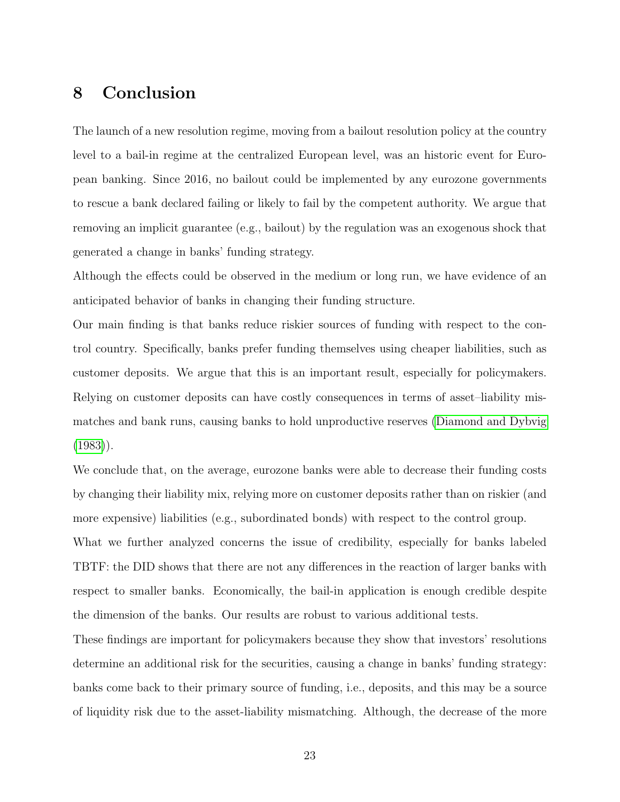## 8 Conclusion

The launch of a new resolution regime, moving from a bailout resolution policy at the country level to a bail-in regime at the centralized European level, was an historic event for European banking. Since 2016, no bailout could be implemented by any eurozone governments to rescue a bank declared failing or likely to fail by the competent authority. We argue that removing an implicit guarantee (e.g., bailout) by the regulation was an exogenous shock that generated a change in banks' funding strategy.

Although the effects could be observed in the medium or long run, we have evidence of an anticipated behavior of banks in changing their funding structure.

Our main finding is that banks reduce riskier sources of funding with respect to the control country. Specifically, banks prefer funding themselves using cheaper liabilities, such as customer deposits. We argue that this is an important result, especially for policymakers. Relying on customer deposits can have costly consequences in terms of asset–liability mismatches and bank runs, causing banks to hold unproductive reserves [\(Diamond and Dybvig](#page-24-7)  $(1983)$ .

We conclude that, on the average, eurozone banks were able to decrease their funding costs by changing their liability mix, relying more on customer deposits rather than on riskier (and more expensive) liabilities (e.g., subordinated bonds) with respect to the control group. What we further analyzed concerns the issue of credibility, especially for banks labeled

TBTF: the DID shows that there are not any differences in the reaction of larger banks with respect to smaller banks. Economically, the bail-in application is enough credible despite the dimension of the banks. Our results are robust to various additional tests.

These findings are important for policymakers because they show that investors' resolutions determine an additional risk for the securities, causing a change in banks' funding strategy: banks come back to their primary source of funding, i.e., deposits, and this may be a source of liquidity risk due to the asset-liability mismatching. Although, the decrease of the more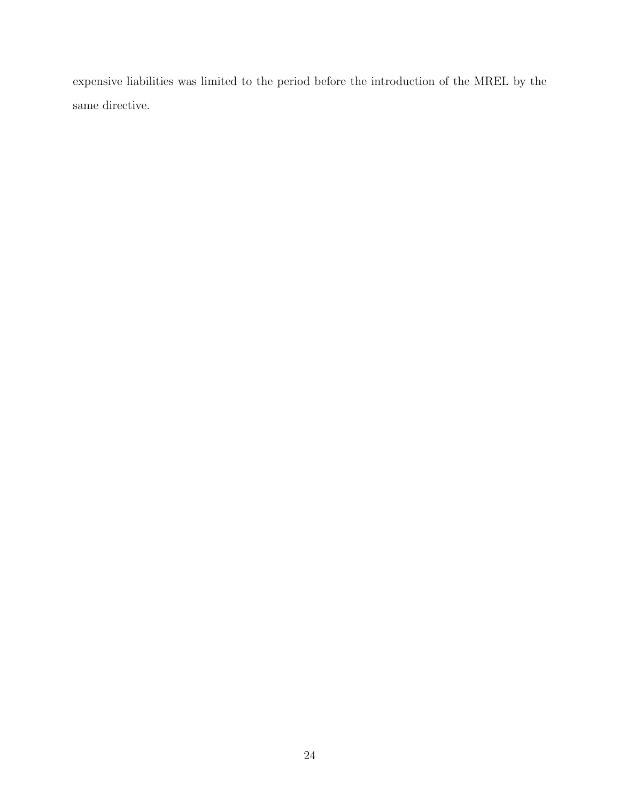expensive liabilities was limited to the period before the introduction of the MREL by the same directive.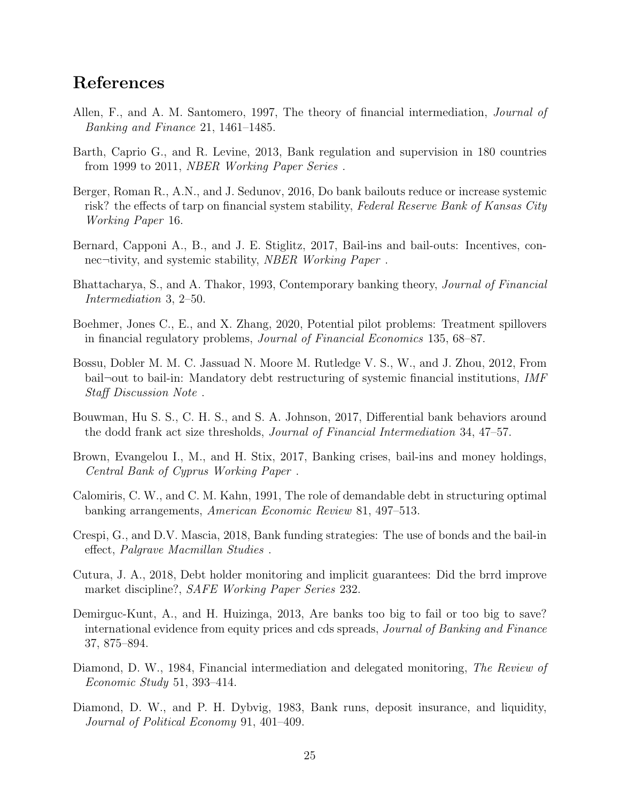## References

- <span id="page-24-2"></span>Allen, F., and A. M. Santomero, 1997, The theory of financial intermediation, Journal of Banking and Finance 21, 1461–1485.
- <span id="page-24-12"></span>Barth, Caprio G., and R. Levine, 2013, Bank regulation and supervision in 180 countries from 1999 to 2011, NBER Working Paper Series .
- <span id="page-24-6"></span>Berger, Roman R., A.N., and J. Sedunov, 2016, Do bank bailouts reduce or increase systemic risk? the effects of tarp on financial system stability, Federal Reserve Bank of Kansas City Working Paper 16.
- <span id="page-24-9"></span>Bernard, Capponi A., B., and J. E. Stiglitz, 2017, Bail-ins and bail-outs: Incentives, connec¬tivity, and systemic stability, NBER Working Paper .
- <span id="page-24-1"></span>Bhattacharya, S., and A. Thakor, 1993, Contemporary banking theory, Journal of Financial Intermediation 3, 2–50.
- <span id="page-24-14"></span>Boehmer, Jones C., E., and X. Zhang, 2020, Potential pilot problems: Treatment spillovers in financial regulatory problems, Journal of Financial Economics 135, 68–87.
- <span id="page-24-11"></span>Bossu, Dobler M. M. C. Jassuad N. Moore M. Rutledge V. S., W., and J. Zhou, 2012, From bail¬out to bail-in: Mandatory debt restructuring of systemic financial institutions, IMF Staff Discussion Note .
- <span id="page-24-5"></span>Bouwman, Hu S. S., C. H. S., and S. A. Johnson, 2017, Differential bank behaviors around the dodd frank act size thresholds, Journal of Financial Intermediation 34, 47–57.
- <span id="page-24-10"></span>Brown, Evangelou I., M., and H. Stix, 2017, Banking crises, bail-ins and money holdings, Central Bank of Cyprus Working Paper .
- <span id="page-24-8"></span>Calomiris, C. W., and C. M. Kahn, 1991, The role of demandable debt in structuring optimal banking arrangements, American Economic Review 81, 497–513.
- <span id="page-24-4"></span>Crespi, G., and D.V. Mascia, 2018, Bank funding strategies: The use of bonds and the bail-in effect, Palgrave Macmillan Studies .
- <span id="page-24-3"></span>Cutura, J. A., 2018, Debt holder monitoring and implicit guarantees: Did the brrd improve market discipline?, SAFE Working Paper Series 232.
- <span id="page-24-13"></span>Demirguc-Kunt, A., and H. Huizinga, 2013, Are banks too big to fail or too big to save? international evidence from equity prices and cds spreads, Journal of Banking and Finance 37, 875–894.
- <span id="page-24-0"></span>Diamond, D. W., 1984, Financial intermediation and delegated monitoring, The Review of Economic Study 51, 393–414.
- <span id="page-24-7"></span>Diamond, D. W., and P. H. Dybvig, 1983, Bank runs, deposit insurance, and liquidity, Journal of Political Economy 91, 401–409.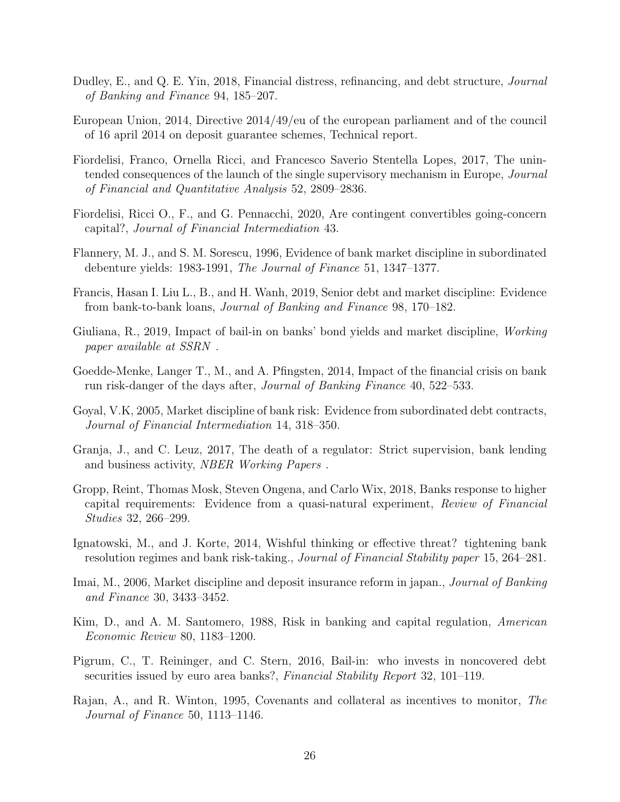- <span id="page-25-8"></span>Dudley, E., and Q. E. Yin, 2018, Financial distress, refinancing, and debt structure, *Journal* of Banking and Finance 94, 185–207.
- <span id="page-25-12"></span>European Union, 2014, Directive 2014/49/eu of the european parliament and of the council of 16 april 2014 on deposit guarantee schemes, Technical report.
- <span id="page-25-2"></span>Fiordelisi, Franco, Ornella Ricci, and Francesco Saverio Stentella Lopes, 2017, The unintended consequences of the launch of the single supervisory mechanism in Europe, *Journal* of Financial and Quantitative Analysis 52, 2809–2836.
- <span id="page-25-6"></span>Fiordelisi, Ricci O., F., and G. Pennacchi, 2020, Are contingent convertibles going-concern capital?, Journal of Financial Intermediation 43.
- <span id="page-25-14"></span>Flannery, M. J., and S. M. Sorescu, 1996, Evidence of bank market discipline in subordinated debenture yields: 1983-1991, The Journal of Finance 51, 1347–1377.
- <span id="page-25-7"></span>Francis, Hasan I. Liu L., B., and H. Wanh, 2019, Senior debt and market discipline: Evidence from bank-to-bank loans, Journal of Banking and Finance 98, 170–182.
- <span id="page-25-1"></span>Giuliana, R., 2019, Impact of bail-in on banks' bond yields and market discipline, Working paper available at SSRN .
- <span id="page-25-4"></span>Goedde-Menke, Langer T., M., and A. Pfingsten, 2014, Impact of the financial crisis on bank run risk-danger of the days after, Journal of Banking Finance 40, 522–533.
- <span id="page-25-5"></span>Goyal, V.K, 2005, Market discipline of bank risk: Evidence from subordinated debt contracts, Journal of Financial Intermediation 14, 318–350.
- <span id="page-25-11"></span>Granja, J., and C. Leuz, 2017, The death of a regulator: Strict supervision, bank lending and business activity, NBER Working Papers .
- <span id="page-25-3"></span>Gropp, Reint, Thomas Mosk, Steven Ongena, and Carlo Wix, 2018, Banks response to higher capital requirements: Evidence from a quasi-natural experiment, Review of Financial Studies 32, 266–299.
- <span id="page-25-9"></span>Ignatowski, M., and J. Korte, 2014, Wishful thinking or effective threat? tightening bank resolution regimes and bank risk-taking., Journal of Financial Stability paper 15, 264–281.
- <span id="page-25-10"></span>Imai, M., 2006, Market discipline and deposit insurance reform in japan., *Journal of Banking* and Finance 30, 3433–3452.
- <span id="page-25-15"></span>Kim, D., and A. M. Santomero, 1988, Risk in banking and capital regulation, American Economic Review 80, 1183–1200.
- <span id="page-25-13"></span>Pigrum, C., T. Reininger, and C. Stern, 2016, Bail-in: who invests in noncovered debt securities issued by euro area banks?, Financial Stability Report 32, 101–119.
- <span id="page-25-0"></span>Rajan, A., and R. Winton, 1995, Covenants and collateral as incentives to monitor, The Journal of Finance 50, 1113–1146.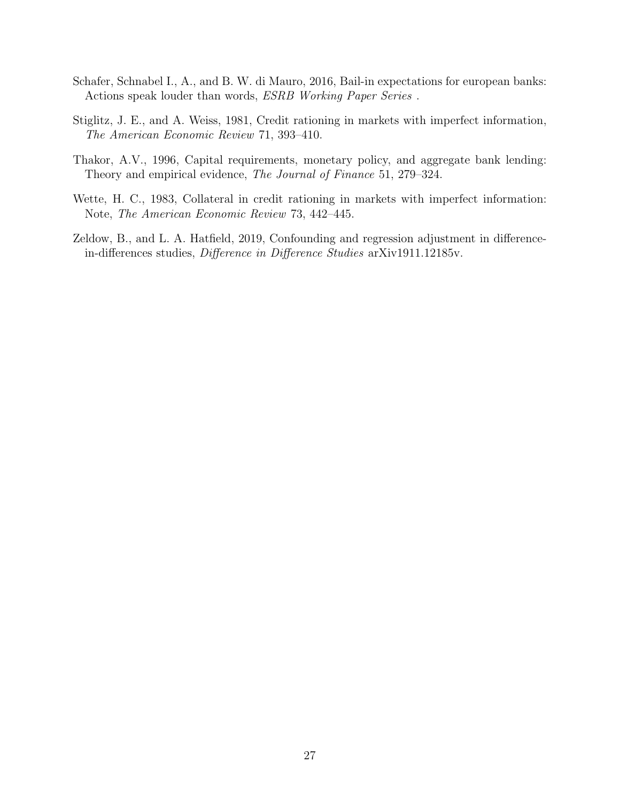- <span id="page-26-2"></span>Schafer, Schnabel I., A., and B. W. di Mauro, 2016, Bail-in expectations for european banks: Actions speak louder than words, ESRB Working Paper Series .
- <span id="page-26-0"></span>Stiglitz, J. E., and A. Weiss, 1981, Credit rationing in markets with imperfect information, The American Economic Review 71, 393–410.
- <span id="page-26-4"></span>Thakor, A.V., 1996, Capital requirements, monetary policy, and aggregate bank lending: Theory and empirical evidence, The Journal of Finance 51, 279–324.
- <span id="page-26-1"></span>Wette, H. C., 1983, Collateral in credit rationing in markets with imperfect information: Note, The American Economic Review 73, 442–445.
- <span id="page-26-3"></span>Zeldow, B., and L. A. Hatfield, 2019, Confounding and regression adjustment in differencein-differences studies, Difference in Difference Studies arXiv1911.12185v.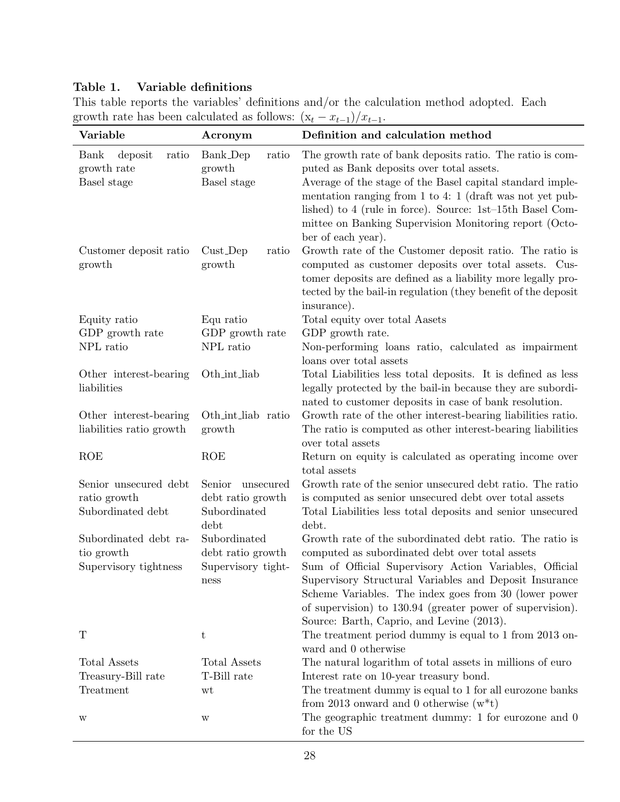### Table 1. Variable definitions

| This table reports the variables' definitions and/or the calculation method adopted. Each |  |  |  |  |  |
|-------------------------------------------------------------------------------------------|--|--|--|--|--|
| growth rate has been calculated as follows: $(x_t - x_{t-1})/x_{t-1}$ .                   |  |  |  |  |  |

| Variable                                               | Acronym                                    | Definition and calculation method                                                                                                                                                                                                                                                                                                                                            |  |  |
|--------------------------------------------------------|--------------------------------------------|------------------------------------------------------------------------------------------------------------------------------------------------------------------------------------------------------------------------------------------------------------------------------------------------------------------------------------------------------------------------------|--|--|
| Bank<br>deposit<br>ratio<br>growth rate<br>Basel stage | Bank_Dep<br>ratio<br>growth<br>Basel stage | The growth rate of bank deposits ratio. The ratio is com-<br>puted as Bank deposits over total assets.<br>Average of the stage of the Basel capital standard imple-<br>mentation ranging from 1 to 4: 1 (draft was not yet pub-<br>lished) to 4 (rule in force). Source: 1st-15th Basel Com-<br>mittee on Banking Supervision Monitoring report (Octo-<br>ber of each year). |  |  |
| Customer deposit ratio<br>growth                       | $Cust_Dep$<br>ratio<br>growth              | Growth rate of the Customer deposit ratio. The ratio is<br>computed as customer deposits over total assets. Cus-<br>tomer deposits are defined as a liability more legally pro-<br>tected by the bail-in regulation (they benefit of the deposit<br>insurance).                                                                                                              |  |  |
| Equity ratio                                           | Equ ratio                                  | Total equity over total Aasets                                                                                                                                                                                                                                                                                                                                               |  |  |
| GDP growth rate                                        | GDP growth rate                            | GDP growth rate.                                                                                                                                                                                                                                                                                                                                                             |  |  |
| NPL ratio                                              | NPL ratio                                  | Non-performing loans ratio, calculated as impairment<br>loans over total assets                                                                                                                                                                                                                                                                                              |  |  |
| Other interest-bearing<br>liabilities                  | Oth_int_liab                               | Total Liabilities less total deposits. It is defined as less<br>legally protected by the bail-in because they are subordi-<br>nated to customer deposits in case of bank resolution.                                                                                                                                                                                         |  |  |
| Other interest-bearing<br>liabilities ratio growth     | Oth_int_liab ratio<br>growth               | Growth rate of the other interest-bearing liabilities ratio.<br>The ratio is computed as other interest-bearing liabilities<br>over total assets                                                                                                                                                                                                                             |  |  |
| <b>ROE</b>                                             | <b>ROE</b>                                 | Return on equity is calculated as operating income over<br>total assets                                                                                                                                                                                                                                                                                                      |  |  |
| Senior unsecured debt                                  | Senior<br>unsecured                        | Growth rate of the senior unsecured debt ratio. The ratio                                                                                                                                                                                                                                                                                                                    |  |  |
| ratio growth                                           | debt ratio growth                          | is computed as senior unsecured debt over total assets                                                                                                                                                                                                                                                                                                                       |  |  |
| Subordinated debt                                      | Subordinated<br>debt                       | Total Liabilities less total deposits and senior unsecured<br>debt.                                                                                                                                                                                                                                                                                                          |  |  |
| Subordinated debt ra-<br>tio growth                    | Subordinated<br>debt ratio growth          | Growth rate of the subordinated debt ratio. The ratio is<br>computed as subordinated debt over total assets                                                                                                                                                                                                                                                                  |  |  |
| Supervisory tightness<br>Supervisory tight-<br>ness    |                                            | Sum of Official Supervisory Action Variables, Official<br>Supervisory Structural Variables and Deposit Insurance<br>Scheme Variables. The index goes from 30 (lower power<br>of supervision) to 130.94 (greater power of supervision).<br>Source: Barth, Caprio, and Levine (2013).                                                                                          |  |  |
| T                                                      | t                                          | The treatment period dummy is equal to 1 from 2013 on-<br>ward and 0 otherwise                                                                                                                                                                                                                                                                                               |  |  |
| Total Assets                                           | Total Assets                               | The natural logarithm of total assets in millions of euro                                                                                                                                                                                                                                                                                                                    |  |  |
| Treasury-Bill rate                                     | T-Bill rate                                | Interest rate on 10-year treasury bond.                                                                                                                                                                                                                                                                                                                                      |  |  |
| Treatment                                              | wt                                         | The treatment dummy is equal to 1 for all eurozone banks<br>from 2013 onward and 0 otherwise $(w^*t)$                                                                                                                                                                                                                                                                        |  |  |
| W                                                      | W                                          | The geographic treatment dummy: 1 for eurozone and 0<br>for the US                                                                                                                                                                                                                                                                                                           |  |  |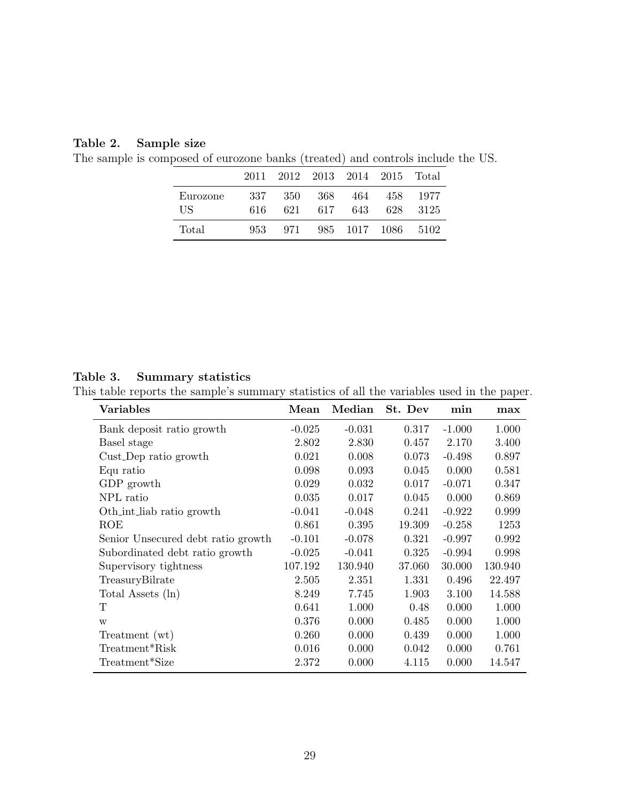#### Table 2. Sample size

The sample is composed of eurozone banks (treated) and controls include the US.

|                 | 2011         |             |             | 2012 2013 2014 2015 Total |            |              |
|-----------------|--------------|-------------|-------------|---------------------------|------------|--------------|
| Eurozone<br>US. | 337-<br>616. | -350<br>621 | -368<br>617 | 464<br>643                | 458<br>628 | 1977<br>3125 |
| Total           | 953          | -971        |             | 985 1017 1086             |            | 5102         |

#### Table 3. Summary statistics

This table reports the sample's summary statistics of all the variables used in the paper.

| Variables                          | Mean     | Median   | St. Dev | min      | max     |
|------------------------------------|----------|----------|---------|----------|---------|
| Bank deposit ratio growth          | $-0.025$ | $-0.031$ | 0.317   | $-1.000$ | 1.000   |
| Basel stage                        | 2.802    | 2.830    | 0.457   | 2.170    | 3.400   |
| Cust_Dep ratio growth              | 0.021    | 0.008    | 0.073   | $-0.498$ | 0.897   |
| Equ ratio                          | 0.098    | 0.093    | 0.045   | 0.000    | 0.581   |
| GDP growth                         | 0.029    | 0.032    | 0.017   | $-0.071$ | 0.347   |
| NPL ratio                          | 0.035    | 0.017    | 0.045   | 0.000    | 0.869   |
| Oth_int_liab ratio growth          | $-0.041$ | $-0.048$ | 0.241   | $-0.922$ | 0.999   |
| ROE                                | 0.861    | 0.395    | 19.309  | $-0.258$ | 1253    |
| Senior Unsecured debt ratio growth | $-0.101$ | $-0.078$ | 0.321   | $-0.997$ | 0.992   |
| Subordinated debt ratio growth     | $-0.025$ | $-0.041$ | 0.325   | $-0.994$ | 0.998   |
| Supervisory tightness              | 107.192  | 130.940  | 37.060  | 30.000   | 130.940 |
| TreasuryBilrate                    | 2.505    | 2.351    | 1.331   | 0.496    | 22.497  |
| Total Assets (ln)                  | 8.249    | 7.745    | 1.903   | 3.100    | 14.588  |
| Т                                  | 0.641    | 1.000    | 0.48    | 0.000    | 1.000   |
| W                                  | 0.376    | 0.000    | 0.485   | 0.000    | 1.000   |
| Treatment (wt)                     | 0.260    | 0.000    | 0.439   | 0.000    | 1.000   |
| Treatment*Risk                     | 0.016    | 0.000    | 0.042   | 0.000    | 0.761   |
| Treatment*Size                     | 2.372    | 0.000    | 4.115   | 0.000    | 14.547  |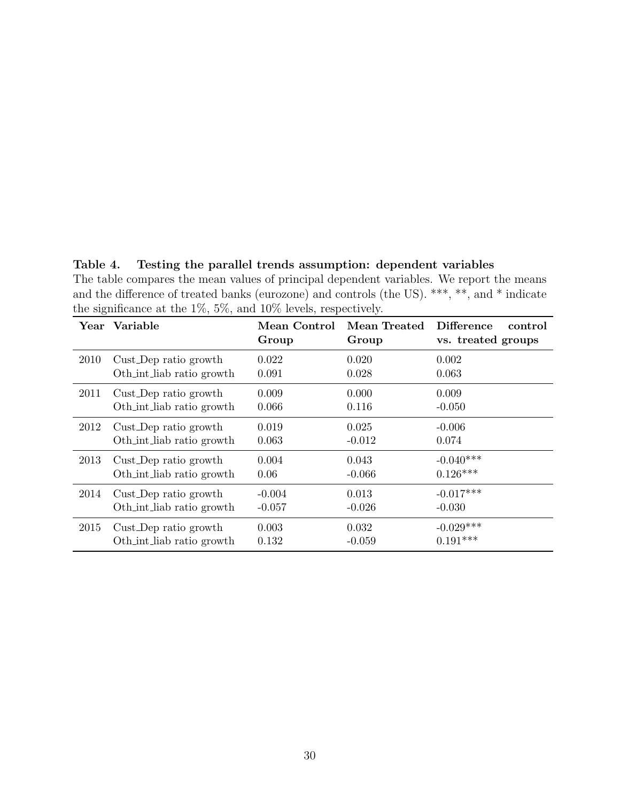Table 4. Testing the parallel trends assumption: dependent variables The table compares the mean values of principal dependent variables. We report the means and the difference of treated banks (eurozone) and controls (the US). \*\*\*, \*\*, and \* indicate the significance at the 1%, 5%, and 10% levels, respectively.

|      | Year Variable             | Mean Control<br>Group | Mean Treated<br>Group | <b>Difference</b><br>control<br>vs. treated groups |
|------|---------------------------|-----------------------|-----------------------|----------------------------------------------------|
| 2010 | Cust_Dep ratio growth     | 0.022                 | 0.020                 | 0.002                                              |
|      | Oth int liab ratio growth | 0.091                 | 0.028                 | 0.063                                              |
| 2011 | Cust_Dep ratio growth     | 0.009                 | 0.000                 | 0.009                                              |
|      | Oth_int_liab ratio growth | 0.066                 | 0.116                 | $-0.050$                                           |
| 2012 | Cust_Dep ratio growth     | 0.019                 | 0.025                 | $-0.006$                                           |
|      | Oth_int_liab ratio growth | 0.063                 | $-0.012$              | 0.074                                              |
| 2013 | Cust_Dep ratio growth     | 0.004                 | 0.043                 | $-0.040***$                                        |
|      | Oth int liab ratio growth | 0.06                  | $-0.066$              | $0.126***$                                         |
| 2014 | Cust_Dep ratio growth     | $-0.004$              | 0.013                 | $-0.017***$                                        |
|      | Oth int liab ratio growth | $-0.057$              | $-0.026$              | $-0.030$                                           |
| 2015 | Cust_Dep ratio growth     | 0.003                 | 0.032                 | $-0.029***$                                        |
|      | Oth_int_liab ratio growth | 0.132                 | $-0.059$              | $0.191***$                                         |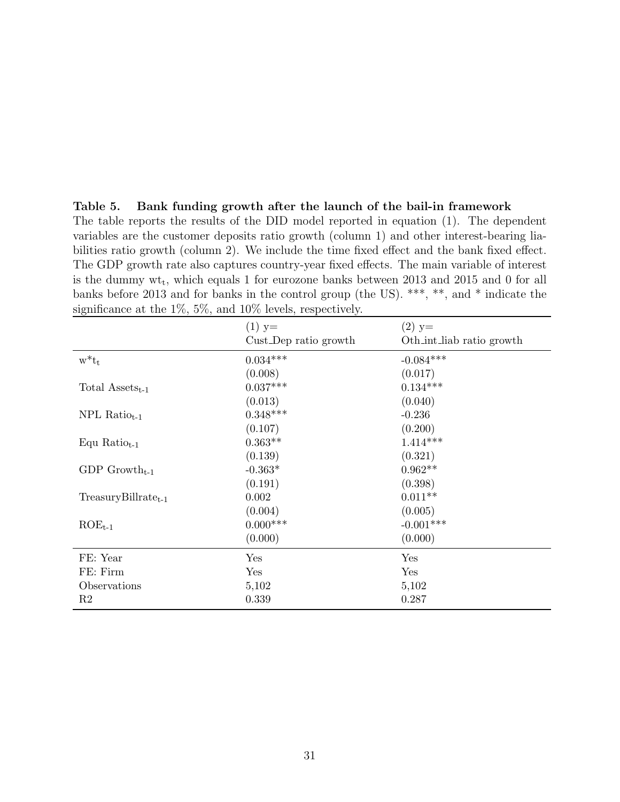| Lable 5. Dalik funding growth after the faunch of the ball-in framework                            |
|----------------------------------------------------------------------------------------------------|
| The table reports the results of the DID model reported in equation $(1)$ . The dependent          |
| variables are the customer deposits ratio growth (column 1) and other interest-bearing lia-        |
| bilities ratio growth (column 2). We include the time fixed effect and the bank fixed effect.      |
| The GDP growth rate also captures country-year fixed effects. The main variable of interest        |
| is the dummy $\text{wt}_t$ , which equals 1 for eurozone banks between 2013 and 2015 and 0 for all |
| banks before 2013 and for banks in the control group (the US). ***, **, and * indicate the         |
| significance at the $1\%$ , $5\%$ , and $10\%$ levels, respectively.                               |

|                             | $(1)$ y=              | $(2)$ y=                  |
|-----------------------------|-----------------------|---------------------------|
|                             | Cust_Dep ratio growth | Oth_int_liab ratio growth |
| $w^*t_t$                    | $0.034***$            | $-0.084***$               |
|                             | (0.008)               | (0.017)                   |
| Total $\text{Assets}_{t-1}$ | $0.037***$            | $0.134***$                |
|                             | (0.013)               | (0.040)                   |
| $NPL Ratiot-1$              | $0.348***$            | $-0.236$                  |
|                             | (0.107)               | (0.200)                   |
| Equ Ratio $_{t-1}$          | $0.363**$             | $1.414***$                |
|                             | (0.139)               | (0.321)                   |
| GDP Growth <sub>t-1</sub>   | $-0.363*$             | $0.962**$                 |
|                             | (0.191)               | (0.398)                   |
| $TreasuryBillratet-1$       | 0.002                 | $0.011**$                 |
|                             | (0.004)               | (0.005)                   |
| $ROE_{t-1}$                 | $0.000***$            | $-0.001***$               |
|                             | (0.000)               | (0.000)                   |
| FE: Year                    | Yes                   | Yes                       |
| FE: Firm                    | Yes                   | Yes                       |
| Observations                | 5,102                 | 5,102                     |
| R2                          | 0.339                 | 0.287                     |

Table 5. Bank funding growth after the launch of the bail-in framework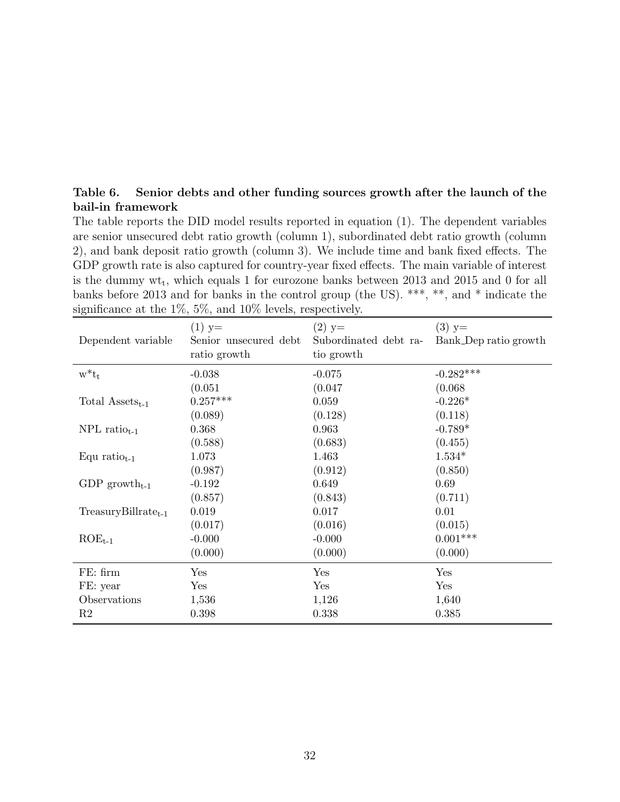#### Table 6. Senior debts and other funding sources growth after the launch of the bail-in framework

The table reports the DID model results reported in equation (1). The dependent variables are senior unsecured debt ratio growth (column 1), subordinated debt ratio growth (column 2), and bank deposit ratio growth (column 3). We include time and bank fixed effects. The GDP growth rate is also captured for country-year fixed effects. The main variable of interest is the dummy  $\text{wt}_t$ , which equals 1 for eurozone banks between 2013 and 2015 and 0 for all banks before 2013 and for banks in the control group (the US). \*\*\*, \*\*, and \* indicate the significance at the 1%, 5%, and 10% levels, respectively.

| Dependent variable          | $(1)$ y=<br>Senior unsecured debt<br>ratio growth | $(2)$ y=<br>Subordinated debt ra-<br>tio growth | $(3)$ y=<br>Bank_Dep ratio growth |
|-----------------------------|---------------------------------------------------|-------------------------------------------------|-----------------------------------|
| $w^*t_t$                    | $-0.038$                                          | $-0.075$                                        | $-0.282***$                       |
|                             | (0.051)                                           | (0.047)                                         | (0.068)                           |
| Total $\text{Assets}_{t-1}$ | $0.257***$                                        | 0.059                                           | $-0.226*$                         |
|                             | (0.089)                                           | (0.128)                                         | (0.118)                           |
| $NPL$ ratio <sub>t-1</sub>  | 0.368                                             | 0.963                                           | $-0.789*$                         |
|                             | (0.588)                                           | (0.683)                                         | (0.455)                           |
| Equ ratio $_{t-1}$          | 1.073                                             | 1.463                                           | $1.534*$                          |
|                             | (0.987)                                           | (0.912)                                         | (0.850)                           |
| GDP growth <sub>t-1</sub>   | $-0.192$                                          | 0.649                                           | 0.69                              |
|                             | (0.857)                                           | (0.843)                                         | (0.711)                           |
| $TreasuryBillratet-1$       | 0.019                                             | 0.017                                           | 0.01                              |
|                             | (0.017)                                           | (0.016)                                         | (0.015)                           |
| $ROE_{t-1}$                 | $-0.000$                                          | $-0.000$                                        | $0.001***$                        |
|                             | (0.000)                                           | (0.000)                                         | (0.000)                           |
| FE: firm                    | Yes                                               | Yes                                             | Yes                               |
| FE: year                    | Yes                                               | Yes                                             | Yes                               |
| Observations                | 1,536                                             | 1,126                                           | 1,640                             |
| R <sub>2</sub>              | 0.398                                             | 0.338                                           | 0.385                             |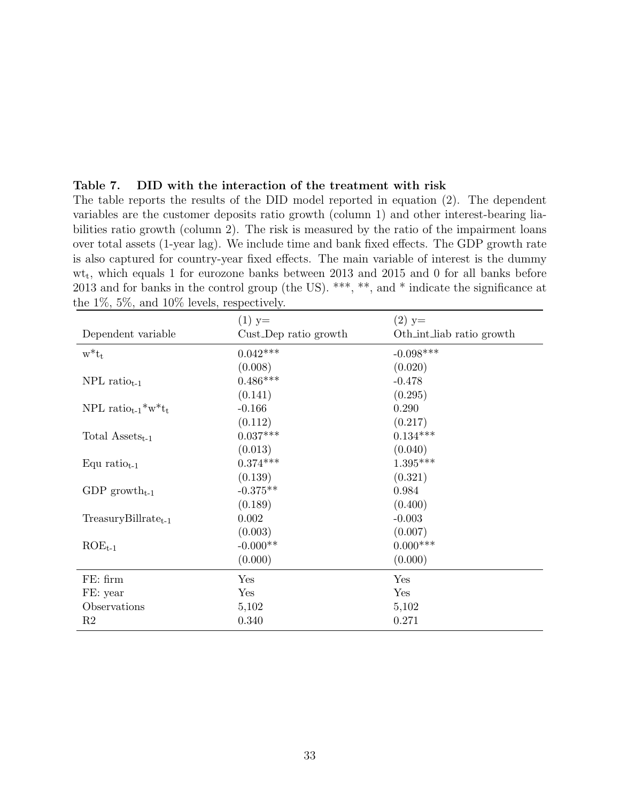|                                                      |                       | over total assets (1-year lag). We include time and bank fixed effects. The GDP growth rate<br>is also captured for country-year fixed effects. The main variable of interest is the dummy   |
|------------------------------------------------------|-----------------------|----------------------------------------------------------------------------------------------------------------------------------------------------------------------------------------------|
| the $1\%$ , $5\%$ , and $10\%$ levels, respectively. |                       | $wt_t$ , which equals 1 for eurozone banks between 2013 and 2015 and 0 for all banks before<br>2013 and for banks in the control group (the US). ***, **, and * indicate the significance at |
|                                                      | $(1)$ y=              | $(2)$ y=                                                                                                                                                                                     |
| Dependent variable                                   | Cust_Dep ratio growth | Oth_int_liab ratio growth                                                                                                                                                                    |
| $w^*t_t$                                             | $0.042***$            | $-0.098***$                                                                                                                                                                                  |
|                                                      | (0.008)               | (0.020)                                                                                                                                                                                      |
| $NPL$ ratio <sub>t-1</sub>                           | $0.486***$            | $-0.478$                                                                                                                                                                                     |
|                                                      | (0.141)               | (0.295)                                                                                                                                                                                      |
| NPL ratio $_{t-1}$ <sup>*</sup> w <sup>*</sup> $t_t$ | $-0.166$              | 0.290                                                                                                                                                                                        |
|                                                      | (0.112)               | (0.217)                                                                                                                                                                                      |
| Total $\text{Assets}_{t-1}$                          | $0.037***$            | $0.134***$                                                                                                                                                                                   |
|                                                      | (0.013)               | (0.040)                                                                                                                                                                                      |
| Equ ratio $_{t-1}$                                   | $0.374***$            | $1.395***$                                                                                                                                                                                   |
|                                                      | (0.139)               | (0.321)                                                                                                                                                                                      |
| GDP growth <sub>t-1</sub>                            | $-0.375**$            | 0.984                                                                                                                                                                                        |
|                                                      | (0.189)               | (0.400)                                                                                                                                                                                      |
| $TreasuryBillratet-1$                                | 0.002                 | $-0.003$                                                                                                                                                                                     |
|                                                      | (0.003)               | (0.007)                                                                                                                                                                                      |
| $ROE_{t-1}$                                          | $-0.000**$            | $0.000***$                                                                                                                                                                                   |
|                                                      | (0.000)               | (0.000)                                                                                                                                                                                      |
| FE: firm                                             | Yes                   | Yes                                                                                                                                                                                          |
| FE: year                                             | Yes                   | Yes                                                                                                                                                                                          |
| Observations                                         | 5,102                 | 5,102                                                                                                                                                                                        |
| R2                                                   | 0.340                 | 0.271                                                                                                                                                                                        |

The table reports the results of the DID model reported in equation (2). The dependent variables are the customer deposits ratio growth (column 1) and other interest-bearing liabilities ratio growth (column 2). The risk is measured by the ratio of the impairment loans

Table 7. DID with the interaction of the treatment with risk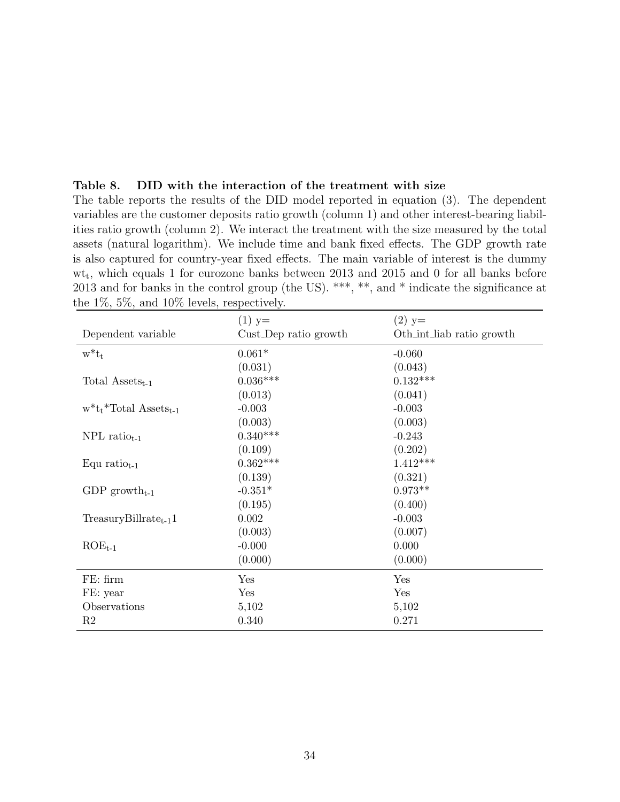| variables are the customer deposits ratio growth (column 1) and other interest-bearing liabil-     |
|----------------------------------------------------------------------------------------------------|
| ities ratio growth (column 2). We interact the treatment with the size measured by the total       |
| assets (natural logarithm). We include time and bank fixed effects. The GDP growth rate            |
| is also captured for country-year fixed effects. The main variable of interest is the dummy        |
| $\text{wt}_t$ , which equals 1 for eurozone banks between 2013 and 2015 and 0 for all banks before |
| 2013 and for banks in the control group (the US). ***, **, and * indicate the significance at      |
| the $1\%$ , 5%, and $10\%$ levels, respectively.                                                   |
|                                                                                                    |

The table reports the results of the DID model reported in equation (3). The dependent

Table 8. DID with the interaction of the treatment with size

|                                       | $(1)$ y=              | $(2)$ y=                  |
|---------------------------------------|-----------------------|---------------------------|
| Dependent variable                    | Cust_Dep ratio growth | Oth_int_liab ratio growth |
| $w^*t_t$                              | $0.061*$              | $-0.060$                  |
|                                       | (0.031)               | (0.043)                   |
| Total $\text{Assets}_{t-1}$           | $0.036***$            | $0.132***$                |
|                                       | (0.013)               | (0.041)                   |
| $w^*t_t^*Total$ Assets <sub>t-1</sub> | $-0.003$              | $-0.003$                  |
|                                       | (0.003)               | (0.003)                   |
| $NPL$ ratio <sub>t-1</sub>            | $0.340***$            | $-0.243$                  |
|                                       | (0.109)               | (0.202)                   |
| Equ ratio $_{t-1}$                    | $0.362***$            | $1.412***$                |
|                                       | (0.139)               | (0.321)                   |
| GDP growth <sub>t-1</sub>             | $-0.351*$             | $0.973**$                 |
|                                       | (0.195)               | (0.400)                   |
| $TreasuryBillrate_{t-1}1$             | 0.002                 | $-0.003$                  |
|                                       | (0.003)               | (0.007)                   |
| $ROE_{t-1}$                           | $-0.000$              | 0.000                     |
|                                       | (0.000)               | (0.000)                   |
| FE: firm                              | Yes                   | Yes                       |
| FE: year                              | Yes                   | Yes                       |
| Observations                          | 5,102                 | 5,102                     |
| R2                                    | 0.340                 | 0.271                     |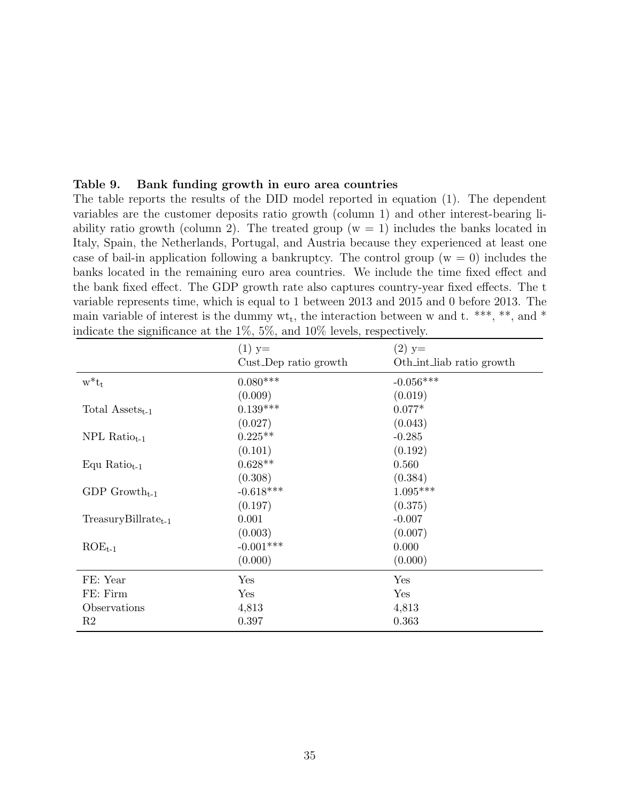|  | Table 9. Bank funding growth in euro area countries |  |  |  |
|--|-----------------------------------------------------|--|--|--|
|--|-----------------------------------------------------|--|--|--|

The table reports the results of the DID model reported in equation (1). The dependent variables are the customer deposits ratio growth (column 1) and other interest-bearing liability ratio growth (column 2). The treated group ( $w = 1$ ) includes the banks located in Italy, Spain, the Netherlands, Portugal, and Austria because they experienced at least one case of bail-in application following a bankruptcy. The control group  $(w = 0)$  includes the banks located in the remaining euro area countries. We include the time fixed effect and the bank fixed effect. The GDP growth rate also captures country-year fixed effects. The t variable represents time, which is equal to 1 between 2013 and 2015 and 0 before 2013. The main variable of interest is the dummy  $wt_t$ , the interaction between w and t. \*\*\*, \*\*, and \* indicate the significance at the 1%, 5%, and 10% levels, respectively.

|                             | $(1)$ y=              | $(2)$ y=                  |
|-----------------------------|-----------------------|---------------------------|
|                             | Cust_Dep ratio growth | Oth_int_liab ratio growth |
| $w^*t_t$                    | $0.080***$            | $-0.056***$               |
|                             | (0.009)               | (0.019)                   |
| Total $\text{Assets}_{t-1}$ | $0.139***$            | $0.077*$                  |
|                             | (0.027)               | (0.043)                   |
| $NPL Ratiot-1$              | $0.225**$             | $-0.285$                  |
|                             | (0.101)               | (0.192)                   |
| Equ Ratio $_{t-1}$          | $0.628**$             | 0.560                     |
|                             | (0.308)               | (0.384)                   |
| GDP Growth <sub>t-1</sub>   | $-0.618***$           | $1.095***$                |
|                             | (0.197)               | (0.375)                   |
| $TreasuryBillratet-1$       | 0.001                 | $-0.007$                  |
|                             | (0.003)               | (0.007)                   |
| $ROE_{t-1}$                 | $-0.001***$           | 0.000                     |
|                             | (0.000)               | (0.000)                   |
| FE: Year                    | Yes                   | Yes                       |
| FE: Firm                    | Yes                   | Yes                       |
| Observations                | 4,813                 | 4,813                     |
| R <sub>2</sub>              | 0.397                 | 0.363                     |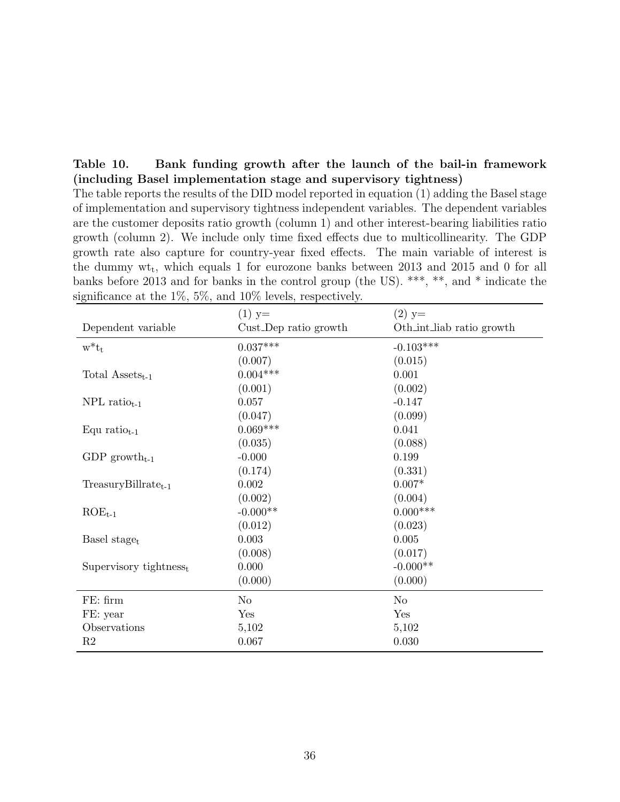| Table 10.                                                        |  |  |  |  | Bank funding growth after the launch of the bail-in framework |
|------------------------------------------------------------------|--|--|--|--|---------------------------------------------------------------|
| (including Basel implementation stage and supervisory tightness) |  |  |  |  |                                                               |

The table reports the results of the DID model reported in equation (1) adding the Basel stage of implementation and supervisory tightness independent variables. The dependent variables are the customer deposits ratio growth (column 1) and other interest-bearing liabilities ratio growth (column 2). We include only time fixed effects due to multicollinearity. The GDP growth rate also capture for country-year fixed effects. The main variable of interest is the dummy  $wt_t$ , which equals 1 for eurozone banks between 2013 and 2015 and 0 for all banks before 2013 and for banks in the control group (the US). \*\*\*, \*\*, and \* indicate the significance at the 1%, 5%, and 10% levels, respectively.

|                              | $(1)$ y=              | $(2)$ y=                  |
|------------------------------|-----------------------|---------------------------|
| Dependent variable           | Cust_Dep ratio growth | Oth int liab ratio growth |
| $w^*t_t$                     | $0.037***$            | $-0.103***$               |
|                              | (0.007)               | (0.015)                   |
| Total $\text{Assets}_{t-1}$  | $0.004***$            | 0.001                     |
|                              | (0.001)               | (0.002)                   |
| NPL ratio $_{t-1}$           | 0.057                 | $-0.147$                  |
|                              | (0.047)               | (0.099)                   |
| Equ ratio $_{t-1}$           | $0.069***$            | 0.041                     |
|                              | (0.035)               | (0.088)                   |
| GDP growth <sub>t-1</sub>    | $-0.000$              | 0.199                     |
|                              | (0.174)               | (0.331)                   |
| $TreasuryBillratet-1$        | 0.002                 | $0.007*$                  |
|                              | (0.002)               | (0.004)                   |
| $ROE_{t-1}$                  | $-0.000**$            | $0.000***$                |
|                              | (0.012)               | (0.023)                   |
| Basel stage <sub>t</sub>     | 0.003                 | 0.005                     |
|                              | (0.008)               | (0.017)                   |
| Supervisory tightness $_{t}$ | 0.000                 | $-0.000**$                |
|                              | (0.000)               | (0.000)                   |
| FE: firm                     | No                    | No                        |
| FE: year                     | Yes                   | Yes                       |
| Observations                 | 5,102                 | 5,102                     |
| R <sub>2</sub>               | 0.067                 | 0.030                     |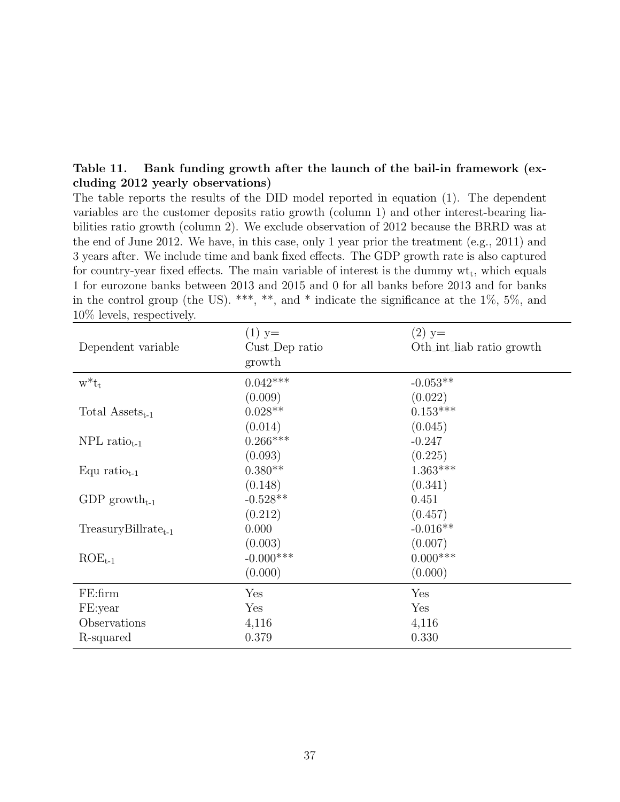| Table 11. Bank funding growth after the launch of the bail-in framework (ex- |  |  |  |
|------------------------------------------------------------------------------|--|--|--|
| cluding 2012 yearly observations)                                            |  |  |  |

The table reports the results of the DID model reported in equation (1). The dependent variables are the customer deposits ratio growth (column 1) and other interest-bearing liabilities ratio growth (column 2). We exclude observation of 2012 because the BRRD was at the end of June 2012. We have, in this case, only 1 year prior the treatment (e.g., 2011) and 3 years after. We include time and bank fixed effects. The GDP growth rate is also captured for country-year fixed effects. The main variable of interest is the dummy  $wt_t$ , which equals 1 for eurozone banks between 2013 and 2015 and 0 for all banks before 2013 and for banks in the control group (the US). \*\*\*, \*\*, and \* indicate the significance at the  $1\%$ ,  $5\%$ , and 10% levels, respectively.

| Dependent variable          | $(1)$ y=<br>Cust_Dep ratio<br>growth | $(2)$ y=<br>Oth_int_liab ratio growth |
|-----------------------------|--------------------------------------|---------------------------------------|
| $w^*t_t$                    | $0.042***$                           | $-0.053**$                            |
|                             | (0.009)                              | (0.022)                               |
| Total $\text{Assets}_{t-1}$ | $0.028**$                            | $0.153***$                            |
|                             | (0.014)                              | (0.045)                               |
| $NPL$ ratio <sub>t-1</sub>  | $0.266***$                           | $-0.247$                              |
|                             | (0.093)                              | (0.225)                               |
| Equ ratio $_{t-1}$          | $0.380**$                            | $1.363***$                            |
|                             | (0.148)                              | (0.341)                               |
| GDP growth <sub>t-1</sub>   | $-0.528**$                           | 0.451                                 |
|                             | (0.212)                              | (0.457)                               |
| $TreasuryBillrate_{t-1}$    | 0.000                                | $-0.016**$                            |
|                             | (0.003)                              | (0.007)                               |
| $ROE_{t-1}$                 | $-0.000$ ***                         | $0.000$ ***                           |
|                             | (0.000)                              | (0.000)                               |
| $FE:$ firm                  | Yes                                  | Yes                                   |
| FE:year                     | Yes                                  | Yes                                   |
| Observations                | 4,116                                | 4,116                                 |
| R-squared                   | 0.379                                | 0.330                                 |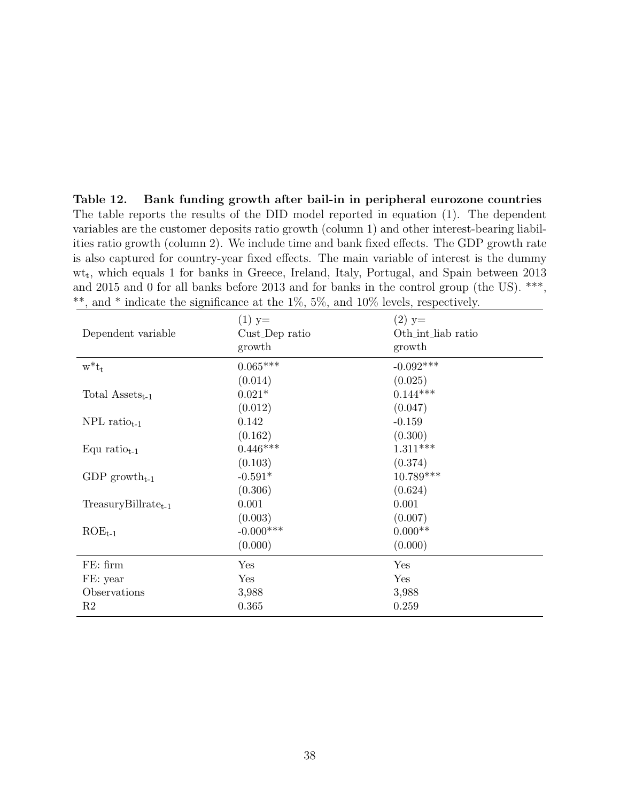Table 12. Bank funding growth after bail-in in peripheral eurozone countries The table reports the results of the DID model reported in equation (1). The dependent variables are the customer deposits ratio growth (column 1) and other interest-bearing liabilities ratio growth (column 2). We include time and bank fixed effects. The GDP growth rate is also captured for country-year fixed effects. The main variable of interest is the dummy wt<sup>t</sup> , which equals 1 for banks in Greece, Ireland, Italy, Portugal, and Spain between 2013 and 2015 and 0 for all banks before 2013 and for banks in the control group (the US). \*\*\*, \*\*, and \* indicate the significance at the  $1\%$ ,  $5\%$ , and  $10\%$  levels, respectively.

| Dependent variable          | $(1)$ y=<br>Cust_Dep ratio<br>growth | $(2)$ y=<br>Oth_int_liab ratio<br>growth |
|-----------------------------|--------------------------------------|------------------------------------------|
| $w^*t_t$                    | $0.065***$                           | $-0.092***$                              |
|                             | (0.014)                              | (0.025)                                  |
| Total $\text{Assets}_{t-1}$ | $0.021*$                             | $0.144***$                               |
|                             | (0.012)                              | (0.047)                                  |
| $NPL$ ratio <sub>t-1</sub>  | 0.142                                | $-0.159$                                 |
|                             | (0.162)                              | (0.300)                                  |
| Equ ratio $_{t-1}$          | $0.446***$                           | $1.311***$                               |
|                             | (0.103)                              | (0.374)                                  |
| GDP growth <sub>t-1</sub>   | $-0.591*$                            | 10.789***                                |
|                             | (0.306)                              | (0.624)                                  |
| $TreasuryBillratet-1$       | 0.001                                | 0.001                                    |
|                             | (0.003)                              | (0.007)                                  |
| $ROE_{t-1}$                 | $-0.000$ ***                         | $0.000**$                                |
|                             | (0.000)                              | (0.000)                                  |
| FE: firm                    | Yes                                  | Yes                                      |
| FE: year                    | Yes                                  | Yes                                      |
| Observations                | 3,988                                | 3,988                                    |
| R <sub>2</sub>              | 0.365                                | 0.259                                    |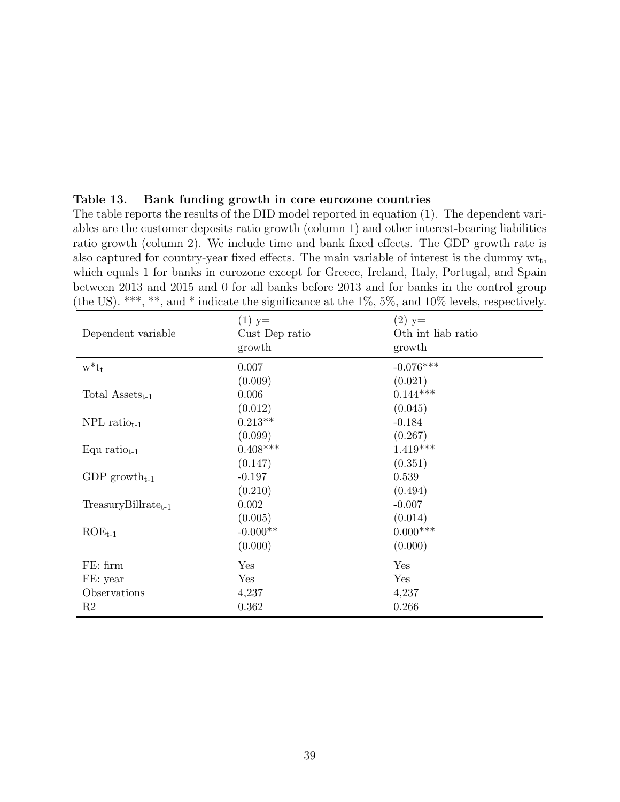| Table 13. Bank funding growth in core eurozone countries |  |  |  |
|----------------------------------------------------------|--|--|--|
|                                                          |  |  |  |

The table reports the results of the DID model reported in equation (1). The dependent variables are the customer deposits ratio growth (column 1) and other interest-bearing liabilities ratio growth (column 2). We include time and bank fixed effects. The GDP growth rate is also captured for country-year fixed effects. The main variable of interest is the dummy  $\mathrm{wt}_t$ , which equals 1 for banks in eurozone except for Greece, Ireland, Italy, Portugal, and Spain between 2013 and 2015 and 0 for all banks before 2013 and for banks in the control group (the US). \*\*\*, \*\*, and \* indicate the significance at the  $1\%$ ,  $5\%$ , and  $10\%$  levels, respectively.

| Dependent variable          | $(1)$ y=<br>Cust_Dep ratio<br>growth | $(2)$ y=<br>Oth_int_liab ratio<br>growth |
|-----------------------------|--------------------------------------|------------------------------------------|
| $w^*t_t$                    | 0.007                                | $-0.076***$                              |
|                             | (0.009)                              | (0.021)                                  |
| Total $\text{Assets}_{t-1}$ | 0.006                                | $0.144***$                               |
|                             | (0.012)                              | (0.045)                                  |
| $NPL$ ratio <sub>t-1</sub>  | $0.213**$                            | $-0.184$                                 |
|                             | (0.099)                              | (0.267)                                  |
| Equ ratio $_{t-1}$          | $0.408***$                           | $1.419***$                               |
|                             | (0.147)                              | (0.351)                                  |
| GDP growth <sub>t-1</sub>   | $-0.197$                             | 0.539                                    |
|                             | (0.210)                              | (0.494)                                  |
| $TreasuryBillratet-1$       | 0.002                                | $-0.007$                                 |
|                             | (0.005)                              | (0.014)                                  |
| $ROE_{t-1}$                 | $-0.000**$                           | $0.000***$                               |
|                             | (0.000)                              | (0.000)                                  |
| FE: firm                    | Yes                                  | Yes                                      |
| FE: year                    | Yes                                  | Yes                                      |
| Observations                | 4,237                                | 4,237                                    |
| R <sub>2</sub>              | 0.362                                | 0.266                                    |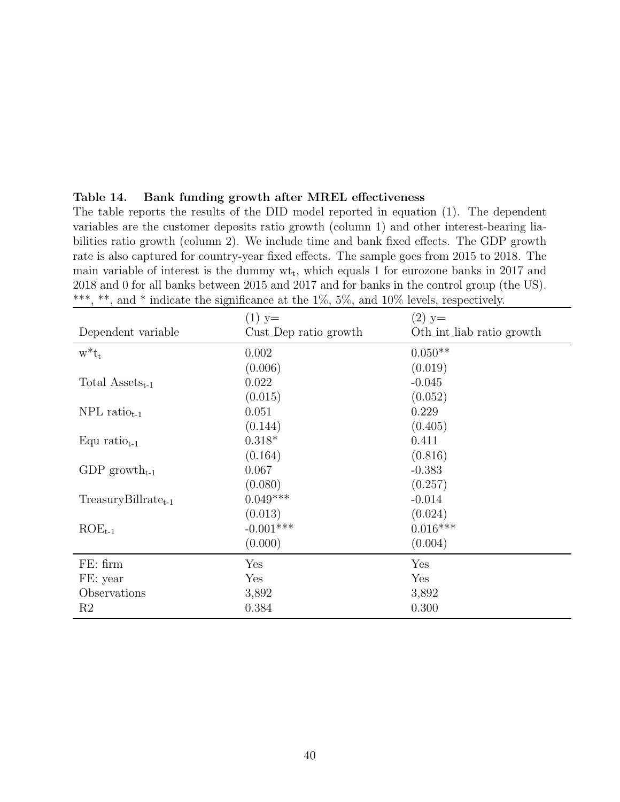| 2018 and 0 for all banks between 2015 and 2017 and for banks in the control group (the US).<br>***, **, and * indicate the significance at the $1\%$ , $5\%$ , and $10\%$ levels, respectively. |                                   |                                       |  |
|-------------------------------------------------------------------------------------------------------------------------------------------------------------------------------------------------|-----------------------------------|---------------------------------------|--|
| Dependent variable                                                                                                                                                                              | $(1)$ y=<br>Cust_Dep ratio growth | $(2)$ y=<br>Oth_int_liab ratio growth |  |
| $w^*t_t$                                                                                                                                                                                        | 0.002<br>(0.006)                  | $0.050**$<br>(0.019)                  |  |
| Total $\text{Assets}_{t-1}$                                                                                                                                                                     | 0.022<br>(0.015)                  | $-0.045$<br>(0.052)                   |  |
| $NPL$ ratio <sub>t-1</sub>                                                                                                                                                                      | 0.051<br>(0.144)                  | 0.229<br>(0.405)                      |  |
| Equ ratio $_{t-1}$                                                                                                                                                                              | $0.318*$<br>(0.164)               | 0.411<br>(0.816)                      |  |
| GDP growth <sub>t-1</sub>                                                                                                                                                                       | 0.067<br>(0.080)                  | $-0.383$<br>(0.257)                   |  |
| $TreasuryBillratet-1$                                                                                                                                                                           | $0.049***$<br>(0.013)             | $-0.014$<br>(0.024)                   |  |
| $ROE_{t-1}$                                                                                                                                                                                     | $-0.001***$<br>(0.000)            | $0.016***$<br>(0.004)                 |  |
| FE: firm                                                                                                                                                                                        | Yes                               | Yes                                   |  |
| FE: year                                                                                                                                                                                        | Yes                               | Yes                                   |  |
| Observations                                                                                                                                                                                    | 3,892                             | 3,892                                 |  |
| R <sub>2</sub>                                                                                                                                                                                  | 0.384                             | 0.300                                 |  |

The table reports the results of the DID model reported in equation (1). The dependent variables are the customer deposits ratio growth (column 1) and other interest-bearing liabilities ratio growth (column 2). We include time and bank fixed effects. The GDP growth rate is also captured for country-year fixed effects. The sample goes from 2015 to 2018. The main variable of interest is the dummy  $wt_t$ , which equals 1 for eurozone banks in 2017 and

Table 14. Bank funding growth after MREL effectiveness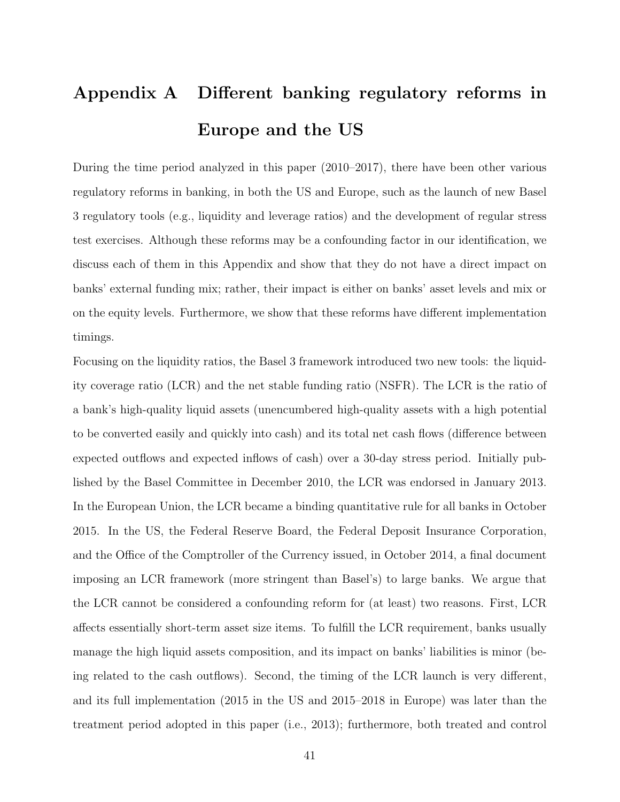# Appendix A Different banking regulatory reforms in Europe and the US

During the time period analyzed in this paper (2010–2017), there have been other various regulatory reforms in banking, in both the US and Europe, such as the launch of new Basel 3 regulatory tools (e.g., liquidity and leverage ratios) and the development of regular stress test exercises. Although these reforms may be a confounding factor in our identification, we discuss each of them in this Appendix and show that they do not have a direct impact on banks' external funding mix; rather, their impact is either on banks' asset levels and mix or on the equity levels. Furthermore, we show that these reforms have different implementation timings.

Focusing on the liquidity ratios, the Basel 3 framework introduced two new tools: the liquidity coverage ratio (LCR) and the net stable funding ratio (NSFR). The LCR is the ratio of a bank's high-quality liquid assets (unencumbered high-quality assets with a high potential to be converted easily and quickly into cash) and its total net cash flows (difference between expected outflows and expected inflows of cash) over a 30-day stress period. Initially published by the Basel Committee in December 2010, the LCR was endorsed in January 2013. In the European Union, the LCR became a binding quantitative rule for all banks in October 2015. In the US, the Federal Reserve Board, the Federal Deposit Insurance Corporation, and the Office of the Comptroller of the Currency issued, in October 2014, a final document imposing an LCR framework (more stringent than Basel's) to large banks. We argue that the LCR cannot be considered a confounding reform for (at least) two reasons. First, LCR affects essentially short-term asset size items. To fulfill the LCR requirement, banks usually manage the high liquid assets composition, and its impact on banks' liabilities is minor (being related to the cash outflows). Second, the timing of the LCR launch is very different, and its full implementation (2015 in the US and 2015–2018 in Europe) was later than the treatment period adopted in this paper (i.e., 2013); furthermore, both treated and control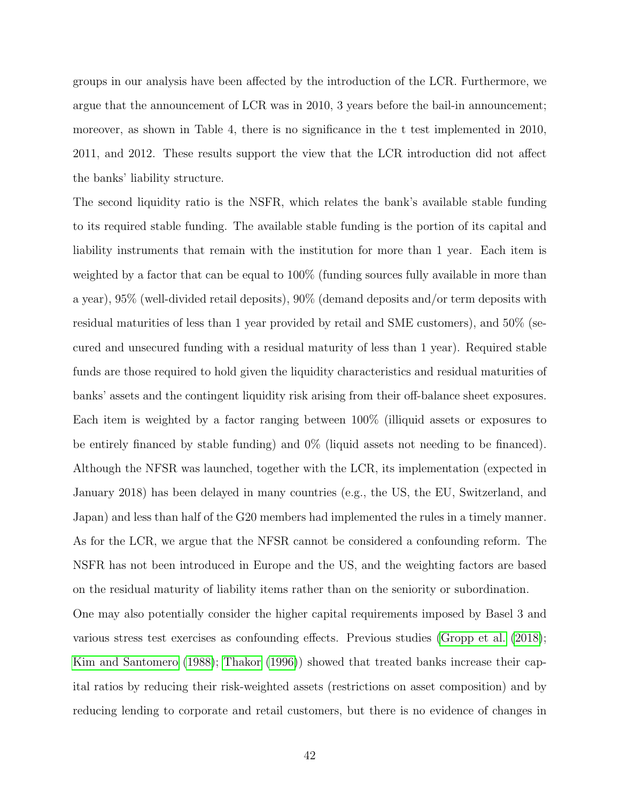groups in our analysis have been affected by the introduction of the LCR. Furthermore, we argue that the announcement of LCR was in 2010, 3 years before the bail-in announcement; moreover, as shown in Table 4, there is no significance in the t test implemented in 2010, 2011, and 2012. These results support the view that the LCR introduction did not affect the banks' liability structure.

The second liquidity ratio is the NSFR, which relates the bank's available stable funding to its required stable funding. The available stable funding is the portion of its capital and liability instruments that remain with the institution for more than 1 year. Each item is weighted by a factor that can be equal to 100% (funding sources fully available in more than a year), 95% (well-divided retail deposits), 90% (demand deposits and/or term deposits with residual maturities of less than 1 year provided by retail and SME customers), and 50% (secured and unsecured funding with a residual maturity of less than 1 year). Required stable funds are those required to hold given the liquidity characteristics and residual maturities of banks' assets and the contingent liquidity risk arising from their off-balance sheet exposures. Each item is weighted by a factor ranging between 100% (illiquid assets or exposures to be entirely financed by stable funding) and 0% (liquid assets not needing to be financed). Although the NFSR was launched, together with the LCR, its implementation (expected in January 2018) has been delayed in many countries (e.g., the US, the EU, Switzerland, and Japan) and less than half of the G20 members had implemented the rules in a timely manner. As for the LCR, we argue that the NFSR cannot be considered a confounding reform. The NSFR has not been introduced in Europe and the US, and the weighting factors are based on the residual maturity of liability items rather than on the seniority or subordination.

One may also potentially consider the higher capital requirements imposed by Basel 3 and various stress test exercises as confounding effects. Previous studies [\(Gropp et al.](#page-25-3) [\(2018\)](#page-25-3); [Kim and Santomero](#page-25-15) [\(1988\)](#page-25-15); [Thakor](#page-26-4) [\(1996\)](#page-26-4)) showed that treated banks increase their capital ratios by reducing their risk-weighted assets (restrictions on asset composition) and by reducing lending to corporate and retail customers, but there is no evidence of changes in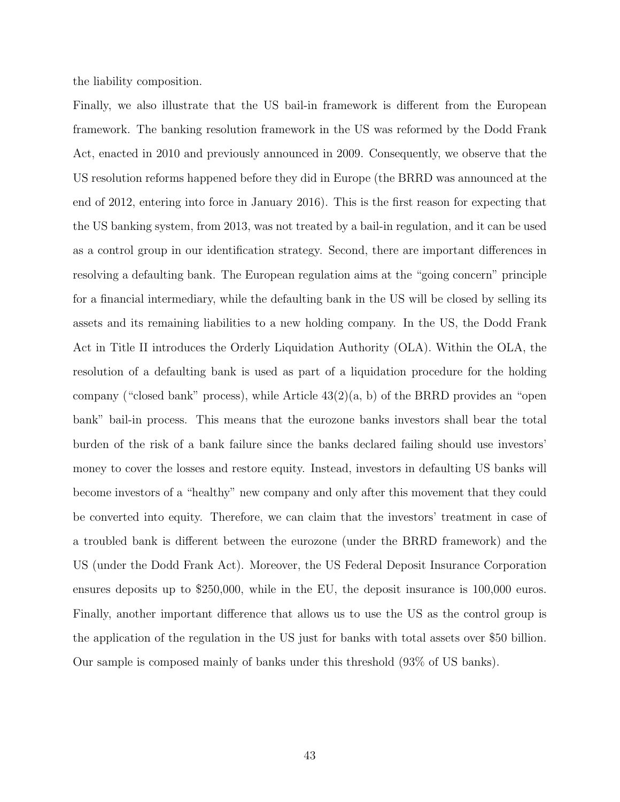the liability composition.

Finally, we also illustrate that the US bail-in framework is different from the European framework. The banking resolution framework in the US was reformed by the Dodd Frank Act, enacted in 2010 and previously announced in 2009. Consequently, we observe that the US resolution reforms happened before they did in Europe (the BRRD was announced at the end of 2012, entering into force in January 2016). This is the first reason for expecting that the US banking system, from 2013, was not treated by a bail-in regulation, and it can be used as a control group in our identification strategy. Second, there are important differences in resolving a defaulting bank. The European regulation aims at the "going concern" principle for a financial intermediary, while the defaulting bank in the US will be closed by selling its assets and its remaining liabilities to a new holding company. In the US, the Dodd Frank Act in Title II introduces the Orderly Liquidation Authority (OLA). Within the OLA, the resolution of a defaulting bank is used as part of a liquidation procedure for the holding company ("closed bank" process), while Article  $43(2)(a, b)$  of the BRRD provides an "open bank" bail-in process. This means that the eurozone banks investors shall bear the total burden of the risk of a bank failure since the banks declared failing should use investors' money to cover the losses and restore equity. Instead, investors in defaulting US banks will become investors of a "healthy" new company and only after this movement that they could be converted into equity. Therefore, we can claim that the investors' treatment in case of a troubled bank is different between the eurozone (under the BRRD framework) and the US (under the Dodd Frank Act). Moreover, the US Federal Deposit Insurance Corporation ensures deposits up to \$250,000, while in the EU, the deposit insurance is 100,000 euros. Finally, another important difference that allows us to use the US as the control group is the application of the regulation in the US just for banks with total assets over \$50 billion. Our sample is composed mainly of banks under this threshold (93% of US banks).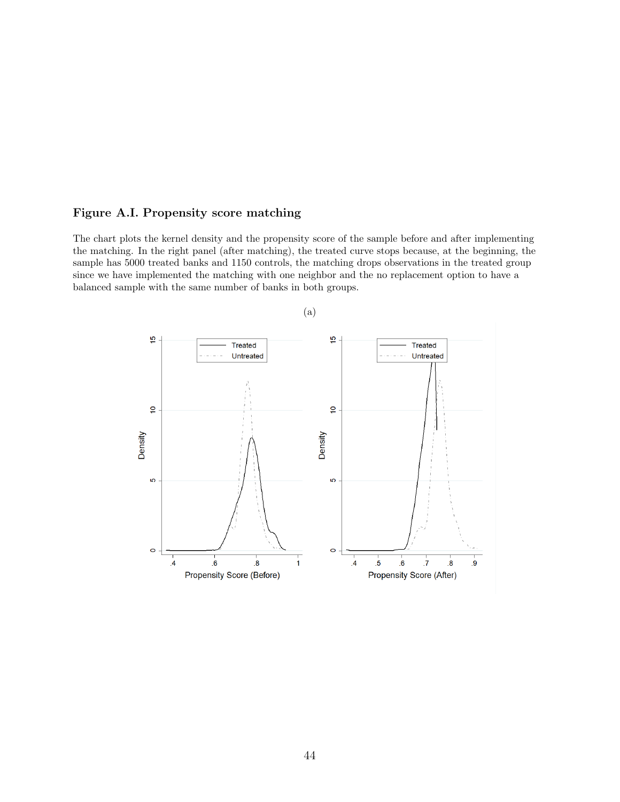#### Figure A.I. Propensity score matching

The chart plots the kernel density and the propensity score of the sample before and after implementing the matching. In the right panel (after matching), the treated curve stops because, at the beginning, the sample has 5000 treated banks and 1150 controls, the matching drops observations in the treated group since we have implemented the matching with one neighbor and the no replacement option to have a balanced sample with the same number of banks in both groups.



(a)